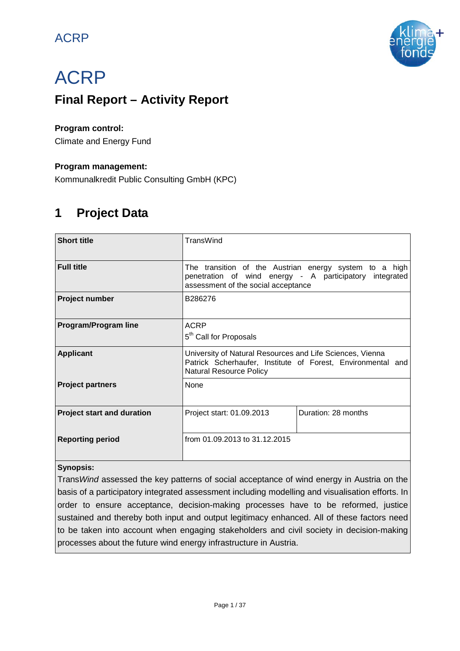# ACRP



# ACRP

# **Final Report – Activity Report**

### **Program control:**

Climate and Energy Fund

### **Program management:**

Kommunalkredit Public Consulting GmbH (KPC)

# **1 Project Data**

| <b>Short title</b>                | TransWind                                                                                                                                                  |                     |  |  |  |  |  |  |  |  |
|-----------------------------------|------------------------------------------------------------------------------------------------------------------------------------------------------------|---------------------|--|--|--|--|--|--|--|--|
| <b>Full title</b>                 | The transition of the Austrian energy system to a high<br>penetration of wind energy - A participatory integrated<br>assessment of the social acceptance   |                     |  |  |  |  |  |  |  |  |
| <b>Project number</b>             | B286276                                                                                                                                                    |                     |  |  |  |  |  |  |  |  |
| <b>Program/Program line</b>       | <b>ACRP</b><br>5 <sup>th</sup> Call for Proposals                                                                                                          |                     |  |  |  |  |  |  |  |  |
| <b>Applicant</b>                  | University of Natural Resources and Life Sciences, Vienna<br>Patrick Scherhaufer, Institute of Forest, Environmental and<br><b>Natural Resource Policy</b> |                     |  |  |  |  |  |  |  |  |
| <b>Project partners</b>           | None                                                                                                                                                       |                     |  |  |  |  |  |  |  |  |
| <b>Project start and duration</b> | Project start: 01.09.2013                                                                                                                                  | Duration: 28 months |  |  |  |  |  |  |  |  |
| <b>Reporting period</b>           | from 01.09.2013 to 31.12.2015                                                                                                                              |                     |  |  |  |  |  |  |  |  |

### **Synopsis:**

Trans*Wind* assessed the key patterns of social acceptance of wind energy in Austria on the basis of a participatory integrated assessment including modelling and visualisation efforts. In order to ensure acceptance, decision-making processes have to be reformed, justice sustained and thereby both input and output legitimacy enhanced. All of these factors need to be taken into account when engaging stakeholders and civil society in decision-making processes about the future wind energy infrastructure in Austria.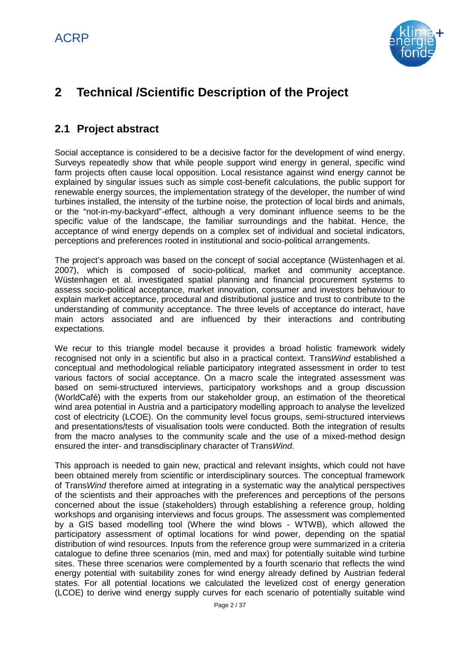

# **2 Technical /Scientific Description of the Project**

# **2.1 Project abstract**

Social acceptance is considered to be a decisive factor for the development of wind energy. Surveys repeatedly show that while people support wind energy in general, specific wind farm projects often cause local opposition. Local resistance against wind energy cannot be explained by singular issues such as simple cost-benefit calculations, the public support for renewable energy sources, the implementation strategy of the developer, the number of wind turbines installed, the intensity of the turbine noise, the protection of local birds and animals, or the "not-in-my-backyard"-effect, although a very dominant influence seems to be the specific value of the landscape, the familiar surroundings and the habitat. Hence, the acceptance of wind energy depends on a complex set of individual and societal indicators, perceptions and preferences rooted in institutional and socio-political arrangements.

The project's approach was based on the concept of social acceptance (Wüstenhagen et al. 2007), which is composed of socio-political, market and community acceptance. Wüstenhagen et al. investigated spatial planning and financial procurement systems to assess socio-political acceptance, market innovation, consumer and investors behaviour to explain market acceptance, procedural and distributional justice and trust to contribute to the understanding of community acceptance. The three levels of acceptance do interact, have main actors associated and are influenced by their interactions and contributing expectations.

We recur to this triangle model because it provides a broad holistic framework widely recognised not only in a scientific but also in a practical context. Trans*Wind* established a conceptual and methodological reliable participatory integrated assessment in order to test various factors of social acceptance. On a macro scale the integrated assessment was based on semi-structured interviews, participatory workshops and a group discussion (WorldCafé) with the experts from our stakeholder group, an estimation of the theoretical wind area potential in Austria and a participatory modelling approach to analyse the levelized cost of electricity (LCOE). On the community level focus groups, semi-structured interviews and presentations/tests of visualisation tools were conducted. Both the integration of results from the macro analyses to the community scale and the use of a mixed-method design ensured the inter- and transdisciplinary character of Trans*Wind*.

This approach is needed to gain new, practical and relevant insights, which could not have been obtained merely from scientific or interdisciplinary sources. The conceptual framework of Trans*Wind* therefore aimed at integrating in a systematic way the analytical perspectives of the scientists and their approaches with the preferences and perceptions of the persons concerned about the issue (stakeholders) through establishing a reference group, holding workshops and organising interviews and focus groups. The assessment was complemented by a GIS based modelling tool (Where the wind blows - WTWB), which allowed the participatory assessment of optimal locations for wind power, depending on the spatial distribution of wind resources. Inputs from the reference group were summarized in a criteria catalogue to define three scenarios (min, med and max) for potentially suitable wind turbine sites. These three scenarios were complemented by a fourth scenario that reflects the wind energy potential with suitability zones for wind energy already defined by Austrian federal states. For all potential locations we calculated the levelized cost of energy generation (LCOE) to derive wind energy supply curves for each scenario of potentially suitable wind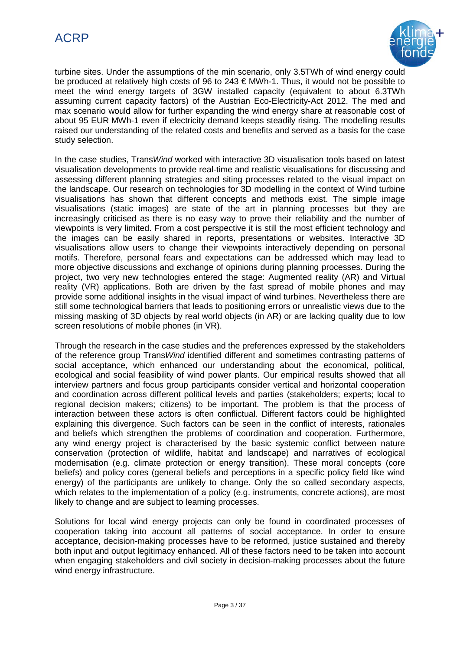

turbine sites. Under the assumptions of the min scenario, only 3.5TWh of wind energy could be produced at relatively high costs of 96 to 243 € MWh-1. Thus, it would not be possible to meet the wind energy targets of 3GW installed capacity (equivalent to about 6.3TWh assuming current capacity factors) of the Austrian Eco-Electricity-Act 2012. The med and max scenario would allow for further expanding the wind energy share at reasonable cost of about 95 EUR MWh-1 even if electricity demand keeps steadily rising. The modelling results raised our understanding of the related costs and benefits and served as a basis for the case study selection.

In the case studies, Trans*Wind* worked with interactive 3D visualisation tools based on latest visualisation developments to provide real-time and realistic visualisations for discussing and assessing different planning strategies and siting processes related to the visual impact on the landscape. Our research on technologies for 3D modelling in the context of Wind turbine visualisations has shown that different concepts and methods exist. The simple image visualisations (static images) are state of the art in planning processes but they are increasingly criticised as there is no easy way to prove their reliability and the number of viewpoints is very limited. From a cost perspective it is still the most efficient technology and the images can be easily shared in reports, presentations or websites. Interactive 3D visualisations allow users to change their viewpoints interactively depending on personal motifs. Therefore, personal fears and expectations can be addressed which may lead to more objective discussions and exchange of opinions during planning processes. During the project, two very new technologies entered the stage: Augmented reality (AR) and Virtual reality (VR) applications. Both are driven by the fast spread of mobile phones and may provide some additional insights in the visual impact of wind turbines. Nevertheless there are still some technological barriers that leads to positioning errors or unrealistic views due to the missing masking of 3D objects by real world objects (in AR) or are lacking quality due to low screen resolutions of mobile phones (in VR).

Through the research in the case studies and the preferences expressed by the stakeholders of the reference group Trans*Wind* identified different and sometimes contrasting patterns of social acceptance, which enhanced our understanding about the economical, political, ecological and social feasibility of wind power plants. Our empirical results showed that all interview partners and focus group participants consider vertical and horizontal cooperation and coordination across different political levels and parties (stakeholders; experts; local to regional decision makers; citizens) to be important. The problem is that the process of interaction between these actors is often conflictual. Different factors could be highlighted explaining this divergence. Such factors can be seen in the conflict of interests, rationales and beliefs which strengthen the problems of coordination and cooperation. Furthermore, any wind energy project is characterised by the basic systemic conflict between nature conservation (protection of wildlife, habitat and landscape) and narratives of ecological modernisation (e.g. climate protection or energy transition). These moral concepts (core beliefs) and policy cores (general beliefs and perceptions in a specific policy field like wind energy) of the participants are unlikely to change. Only the so called secondary aspects, which relates to the implementation of a policy (e.g. instruments, concrete actions), are most likely to change and are subject to learning processes.

Solutions for local wind energy projects can only be found in coordinated processes of cooperation taking into account all patterns of social acceptance. In order to ensure acceptance, decision-making processes have to be reformed, justice sustained and thereby both input and output legitimacy enhanced. All of these factors need to be taken into account when engaging stakeholders and civil society in decision-making processes about the future wind energy infrastructure.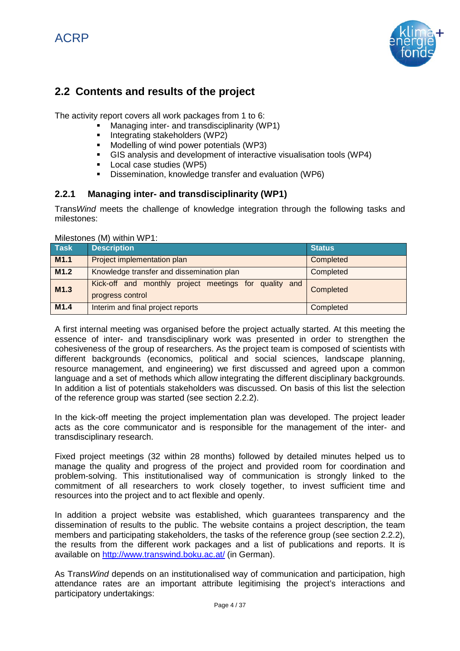ACRP



# **2.2 Contents and results of the project**

The activity report covers all work packages from 1 to 6:

- Managing inter- and transdisciplinarity (WP1)
- Integrating stakeholders (WP2)
- Modelling of wind power potentials (WP3)
- GIS analysis and development of interactive visualisation tools (WP4)
- **Local case studies (WP5)**
- **Dissemination, knowledge transfer and evaluation (WP6)**

### **2.2.1 Managing inter- and transdisciplinarity (WP1)**

Trans*Wind* meets the challenge of knowledge integration through the following tasks and milestones:

| <b>Task</b>      | <b>Description</b>                                                        | <b>Status</b> |
|------------------|---------------------------------------------------------------------------|---------------|
| M <sub>1.1</sub> | Project implementation plan                                               | Completed     |
| M <sub>1.2</sub> | Knowledge transfer and dissemination plan                                 | Completed     |
| M1.3             | Kick-off and monthly project meetings for quality and<br>progress control | Completed     |
| M <sub>1.4</sub> | Interim and final project reports                                         | Completed     |

### Milestones (M) within WP1:

A first internal meeting was organised before the project actually started. At this meeting the essence of inter- and transdisciplinary work was presented in order to strengthen the cohesiveness of the group of researchers. As the project team is composed of scientists with different backgrounds (economics, political and social sciences, landscape planning, resource management, and engineering) we first discussed and agreed upon a common language and a set of methods which allow integrating the different disciplinary backgrounds. In addition a list of potentials stakeholders was discussed. On basis of this list the selection of the reference group was started (see section 2.2.2).

In the kick-off meeting the project implementation plan was developed. The project leader acts as the core communicator and is responsible for the management of the inter- and transdisciplinary research.

Fixed project meetings (32 within 28 months) followed by detailed minutes helped us to manage the quality and progress of the project and provided room for coordination and problem-solving. This institutionalised way of communication is strongly linked to the commitment of all researchers to work closely together, to invest sufficient time and resources into the project and to act flexible and openly.

In addition a project website was established, which guarantees transparency and the dissemination of results to the public. The website contains a project description, the team members and participating stakeholders, the tasks of the reference group (see section 2.2.2), the results from the different work packages and a list of publications and reports. It is available on<http://www.transwind.boku.ac.at/> (in German).

As Trans*Wind* depends on an institutionalised way of communication and participation, high attendance rates are an important attribute legitimising the project's interactions and participatory undertakings: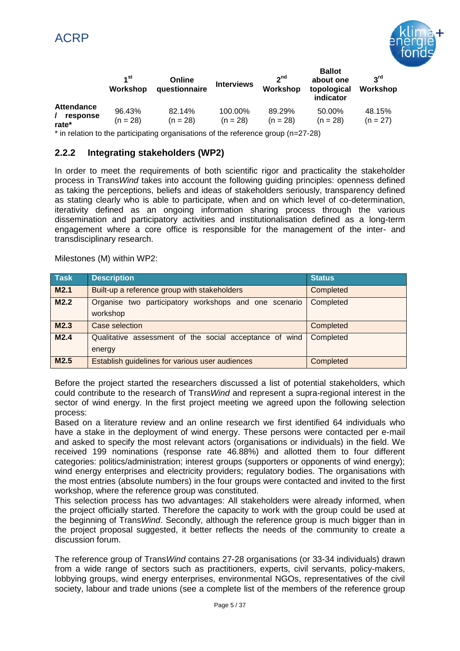

|                                        | 1 <sup>st</sup><br>Workshop | Online<br>questionnaire | <b>Interviews</b>     | <sub>2</sub> nd<br>Workshop | <b>Ballot</b><br>about one<br>topological<br>indicator | 2 <sup>rd</sup><br>Workshop |
|----------------------------------------|-----------------------------|-------------------------|-----------------------|-----------------------------|--------------------------------------------------------|-----------------------------|
| <b>Attendance</b><br>response<br>rate* | 96.43%<br>$(n = 28)$        | 82.14%<br>$(n = 28)$    | 100.00%<br>$(n = 28)$ | 89.29%<br>$(n = 28)$        | 50.00%<br>$(n = 28)$                                   | 48.15%<br>$(n = 27)$        |

\* in relation to the participating organisations of the reference group (n=27-28)

### **2.2.2 Integrating stakeholders (WP2)**

In order to meet the requirements of both scientific rigor and practicality the stakeholder process in Trans*Wind* takes into account the following guiding principles: openness defined as taking the perceptions, beliefs and ideas of stakeholders seriously, transparency defined as stating clearly who is able to participate, when and on which level of co-determination, iterativity defined as an ongoing information sharing process through the various dissemination and participatory activities and institutionalisation defined as a long-term engagement where a core office is responsible for the management of the inter- and transdisciplinary research.

Milestones (M) within WP2:

| <b>Task</b>      | <b>Description</b>                                                | <b>Status</b> |
|------------------|-------------------------------------------------------------------|---------------|
| M <sub>2.1</sub> | Built-up a reference group with stakeholders                      | Completed     |
| M2.2             | Organise two participatory workshops and one scenario<br>workshop | Completed     |
| M2.3             | Case selection                                                    | Completed     |
| M2.4             | Qualitative assessment of the social acceptance of wind<br>energy | Completed     |
| M2.5             | Establish guidelines for various user audiences                   | Completed     |

Before the project started the researchers discussed a list of potential stakeholders, which could contribute to the research of Trans*Wind* and represent a supra-regional interest in the sector of wind energy. In the first project meeting we agreed upon the following selection process:

Based on a literature review and an online research we first identified 64 individuals who have a stake in the deployment of wind energy. These persons were contacted per e-mail and asked to specify the most relevant actors (organisations or individuals) in the field. We received 199 nominations (response rate 46.88%) and allotted them to four different categories: politics/administration; interest groups (supporters or opponents of wind energy); wind energy enterprises and electricity providers; regulatory bodies. The organisations with the most entries (absolute numbers) in the four groups were contacted and invited to the first workshop, where the reference group was constituted.

This selection process has two advantages: All stakeholders were already informed, when the project officially started. Therefore the capacity to work with the group could be used at the beginning of Trans*Wind*. Secondly, although the reference group is much bigger than in the project proposal suggested, it better reflects the needs of the community to create a discussion forum.

The reference group of Trans*Wind* contains 27-28 organisations (or 33-34 individuals) drawn from a wide range of sectors such as practitioners, experts, civil servants, policy-makers, lobbying groups, wind energy enterprises, environmental NGOs, [representatives](http://www.dict.cc/englisch-deutsch/representative.html) of the civil society, labour and trade unions (see a complete list of the members of the reference group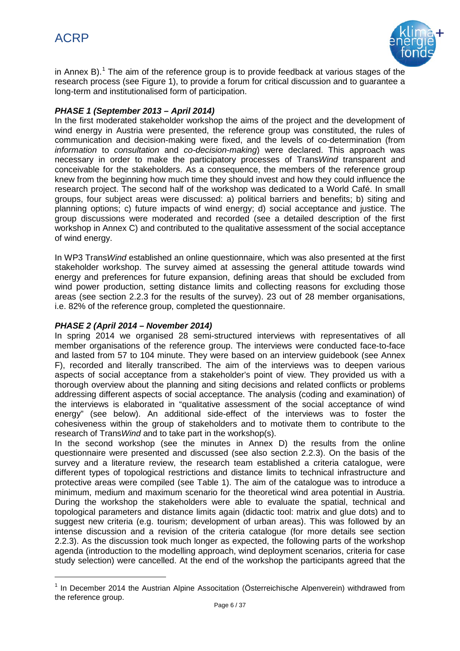

in Annex B).<sup>[1](#page-5-0)</sup> The aim of the reference group is to provide feedback at various stages of the research process (see Figure 1), to provide a forum for critical discussion and to guarantee a long-term and institutionalised form of participation.

### *PHASE 1 (September 2013 – April 2014)*

In the first moderated stakeholder workshop the aims of the project and the development of wind energy in Austria were presented, the reference group was constituted, the rules of communication and decision-making were fixed, and the levels of co-determination (from *information* to *consultation* and *co-decision-making*) were declared. This approach was necessary in order to make the participatory processes of Trans*Wind* transparent and conceivable for the stakeholders. As a consequence, the members of the reference group knew from the beginning how much time they should invest and how they could influence the research project. The second half of the workshop was dedicated to a World Café. In small groups, four subject areas were discussed: a) political barriers and benefits; b) siting and planning options; c) future impacts of wind energy; d) social acceptance and justice. The group discussions were moderated and recorded (see a detailed description of the first workshop in Annex C) and contributed to the qualitative assessment of the social acceptance of wind energy.

In WP3 Trans*Wind* established an online questionnaire, which was also presented at the first stakeholder workshop. The survey aimed at assessing the general attitude towards wind energy and preferences for future expansion, defining areas that should be excluded from wind power production, setting distance limits and collecting reasons for excluding those areas (see section 2.2.3 for the results of the survey). 23 out of 28 member organisations, i.e. 82% of the reference group, completed the questionnaire.

### *PHASE 2 (April 2014 – November 2014)*

In spring 2014 we organised 28 semi-structured interviews with representatives of all member organisations of the reference group. The interviews were conducted face-to-face and lasted from 57 to 104 minute. They were based on an interview guidebook (see Annex F), recorded and literally transcribed. The aim of the interviews was to deepen various aspects of social acceptance from a stakeholder's point of view. They provided us with a thorough overview about the planning and siting decisions and related conflicts or problems addressing different aspects of social acceptance. The analysis (coding and examination) of the interviews is elaborated in "qualitative assessment of the social acceptance of wind energy" (see below). An additional side-effect of the interviews was to foster the cohesiveness within the group of stakeholders and to motivate them to contribute to the research of Trans*Wind* and to take part in the workshop(s).

In the second workshop (see the minutes in Annex D) the results from the online questionnaire were presented and discussed (see also section 2.2.3). On the basis of the survey and a literature review, the research team established a criteria catalogue, were different types of topological restrictions and distance limits to technical infrastructure and protective areas were compiled (see Table 1). The aim of the catalogue was to introduce a minimum, medium and maximum scenario for the theoretical wind area potential in Austria. During the workshop the stakeholders were able to evaluate the spatial, technical and topological parameters and distance limits again (didactic tool: matrix and glue dots) and to suggest new criteria (e.g. tourism; development of urban areas). This was followed by an intense discussion and a revision of the criteria catalogue (for more details see section 2.2.3). As the discussion took much longer as expected, the following parts of the workshop agenda (introduction to the modelling approach, wind deployment scenarios, criteria for case study selection) were cancelled. At the end of the workshop the participants agreed that the

<span id="page-5-0"></span> <sup>1</sup> In December 2014 the Austrian Alpine Associtation (Österreichische Alpenverein) withdrawed from the reference group.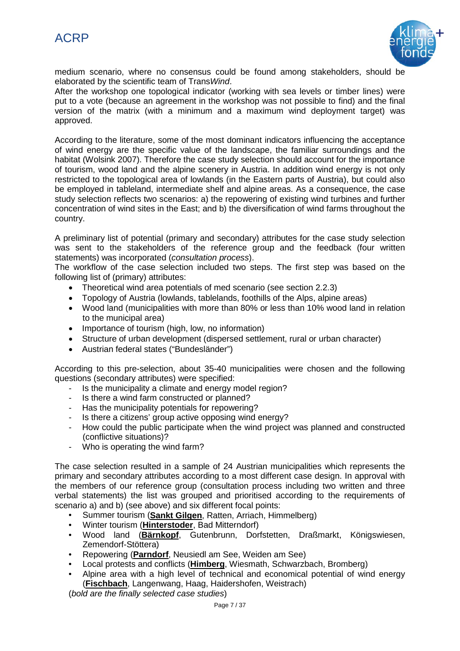

medium scenario, where no consensus could be found among stakeholders, should be elaborated by the scientific team of Trans*Wind*.

After the workshop one topological indicator (working with sea levels or timber lines) were put to a vote (because an agreement in the workshop was not possible to find) and the final version of the matrix (with a minimum and a maximum wind deployment target) was approved.

According to the literature, some of the most dominant indicators influencing the acceptance of wind energy are the specific value of the landscape, the familiar surroundings and the habitat (Wolsink 2007). Therefore the case study selection should account for the importance of tourism, wood land and the alpine scenery in Austria. In addition wind energy is not only restricted to the topological area of lowlands (in the Eastern parts of Austria), but could also be employed in tableland, intermediate shelf and alpine areas. As a consequence, the case study selection reflects two scenarios: a) the repowering of existing wind turbines and further concentration of wind sites in the East; and b) the diversification of wind farms throughout the country.

A preliminary list of potential (primary and secondary) attributes for the case study selection was sent to the stakeholders of the reference group and the feedback (four written statements) was incorporated (*consultation process*).

The workflow of the case selection included two steps. The first step was based on the following list of (primary) attributes:

- Theoretical wind area potentials of med scenario (see section 2.2.3)
- Topology of Austria (lowlands, tablelands, foothills of the Alps, alpine areas)
- Wood land (municipalities with more than 80% or less than 10% wood land in relation to the municipal area)
- Importance of tourism (high, low, no information)
- Structure of urban development (dispersed settlement, rural or urban character)
- Austrian federal states ("Bundesländer")

According to this pre-selection, about 35-40 municipalities were chosen and the following questions (secondary attributes) were specified:

- Is the municipality a climate and energy model region?
- Is there a wind farm constructed or planned?
- Has the municipality potentials for repowering?
- Is there a citizens' group active opposing wind energy?
- How could the public participate when the wind project was planned and constructed (conflictive situations)?
- Who is operating the wind farm?

The case selection resulted in a sample of 24 Austrian municipalities which represents the primary and secondary attributes according to a most different case design. In approval with the members of our reference group (consultation process including two written and three verbal statements) the list was grouped and prioritised according to the requirements of scenario a) and b) (see above) and six different focal points:

- Summer tourism (**Sankt Gilgen** , Ratten, Arriach, Himmelberg)
- Winter tourism ( **Hinterstoder** , Bad Mitterndorf)
- Wood land ( **Bärnkopf** , Gutenbrunn, Dorfstetten, Draßmarkt, Königswiesen, Zemendorf-Stöttera)
- Repowering ( **Parndorf** , Neusiedl am See, Weiden am See)
- Local protests and conflicts ( **Himberg** , Wiesmath, Schwarzbach, Bromberg)
- Alpine area with a high level of technical and economical potential of wind energy ( **Fischbach** , Langenwang, Haag, Haidershofen, Weistrach)

(*bold are the finally selected case studies*)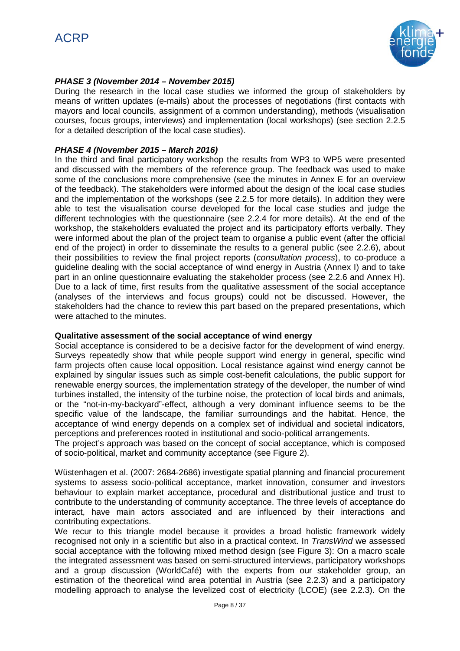

### *PHASE 3 (November 2014 – November 2015)*

During the research in the local case studies we informed the group of stakeholders by means of written updates (e-mails) about the processes of negotiations (first contacts with mayors and local councils, assignment of a common understanding), methods (visualisation courses, focus groups, interviews) and implementation (local workshops) (see section 2.2.5 for a detailed description of the local case studies).

### *PHASE 4 (November 2015 – March 2016)*

In the third and final participatory workshop the results from WP3 to WP5 were presented and discussed with the members of the reference group. The feedback was used to make some of the conclusions more comprehensive (see the minutes in Annex E for an overview of the feedback). The stakeholders were informed about the design of the local case studies and the implementation of the workshops (see 2.2.5 for more details). In addition they were able to test the visualisation course developed for the local case studies and judge the different technologies with the questionnaire (see 2.2.4 for more details). At the end of the workshop, the stakeholders evaluated the project and its participatory efforts verbally. They were informed about the plan of the project team to organise a public event (after the official end of the project) in order to disseminate the results to a general public (see 2.2.6), about their possibilities to review the final project reports (*consultation process*), to co-produce a guideline dealing with the social acceptance of wind energy in Austria (Annex I) and to take part in an online questionnaire evaluating the stakeholder process (see 2.2.6 and Annex H). Due to a lack of time, first results from the qualitative assessment of the social acceptance (analyses of the interviews and focus groups) could not be discussed. However, the stakeholders had the chance to review this part based on the prepared presentations, which were attached to the minutes.

### **Qualitative assessment of the social acceptance of wind energy**

Social acceptance is considered to be a decisive factor for the development of wind energy. Surveys repeatedly show that while people support wind energy in general, specific wind farm projects often cause local opposition. Local resistance against wind energy cannot be explained by singular issues such as simple cost-benefit calculations, the public support for renewable energy sources, the implementation strategy of the developer, the number of wind turbines installed, the intensity of the turbine noise, the protection of local birds and animals, or the "not-in-my-backyard"-effect, although a very dominant influence seems to be the specific value of the landscape, the familiar surroundings and the habitat. Hence, the acceptance of wind energy depends on a complex set of individual and societal indicators, perceptions and preferences rooted in institutional and socio-political arrangements.

The project's approach was based on the concept of social acceptance, which is composed of socio-political, market and community acceptance (see Figure 2).

Wüstenhagen et al. (2007: 2684-2686) investigate spatial planning and financial procurement systems to assess socio-political acceptance, market innovation, consumer and investors behaviour to explain market acceptance, procedural and distributional justice and trust to contribute to the understanding of community acceptance. The three levels of acceptance do interact, have main actors associated and are influenced by their interactions and contributing expectations.

We recur to this triangle model because it provides a broad holistic framework widely recognised not only in a scientific but also in a practical context. In *TransWind* we assessed social acceptance with the following mixed method design (see Figure 3): On a macro scale the integrated assessment was based on semi-structured interviews, participatory workshops and a group discussion (WorldCafé) with the experts from our stakeholder group, an estimation of the theoretical wind area potential in Austria (see 2.2.3) and a participatory modelling approach to analyse the levelized cost of electricity (LCOE) (see 2.2.3). On the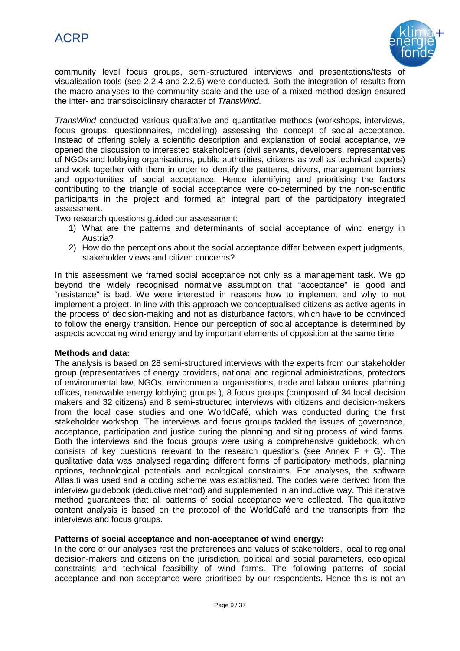

community level focus groups, semi-structured interviews and presentations/tests of visualisation tools (see 2.2.4 and 2.2.5) were conducted. Both the integration of results from the macro analyses to the community scale and the use of a mixed-method design ensured the inter- and transdisciplinary character of *TransWind*.

*TransWind* conducted various qualitative and quantitative methods (workshops, interviews, focus groups, questionnaires, modelling) assessing the concept of social acceptance. Instead of offering solely a scientific description and explanation of social acceptance, we opened the discussion to interested stakeholders (civil servants, developers, representatives of NGOs and lobbying organisations, public authorities, citizens as well as technical experts) and work together with them in order to identify the patterns, drivers, management barriers and opportunities of social acceptance. Hence identifying and prioritising the factors contributing to the triangle of social acceptance were co-determined by the non-scientific participants in the project and formed an integral part of the participatory integrated assessment.

Two research questions guided our assessment:

- 1) What are the patterns and determinants of social acceptance of wind energy in Austria?
- 2) How do the perceptions about the social acceptance differ between expert judgments, stakeholder views and citizen concerns?

In this assessment we framed social acceptance not only as a management task. We go beyond the widely recognised normative assumption that "acceptance" is good and "resistance" is bad. We were interested in reasons how to implement and why to not implement a project. In line with this approach we conceptualised citizens as active agents in the process of decision-making and not as disturbance factors, which have to be convinced to follow the energy transition. Hence our perception of social acceptance is determined by aspects advocating wind energy and by important elements of opposition at the same time.

### **Methods and data:**

The analysis is based on 28 semi-structured interviews with the experts from our stakeholder group (representatives of energy providers, national and regional administrations, protectors of environmental law, NGOs, environmental organisations, trade and labour unions, planning offices, renewable energy lobbying groups ), 8 focus groups (composed of 34 local decision makers and 32 citizens) and 8 semi-structured interviews with citizens and decision-makers from the local case studies and one WorldCafé, which was conducted during the first stakeholder workshop. The interviews and focus groups tackled the issues of governance, acceptance, participation and justice during the planning and siting process of wind farms. Both the interviews and the focus groups were using a comprehensive guidebook, which consists of key questions relevant to the research questions (see Annex  $F + G$ ). The qualitative data was analysed regarding different forms of participatory methods, planning options, technological potentials and ecological constraints. For analyses, the software Atlas.ti was used and a coding scheme was established. The codes were derived from the interview guidebook (deductive method) and supplemented in an inductive way. This iterative method guarantees that all patterns of social acceptance were collected. The qualitative content analysis is based on the protocol of the WorldCafé and the transcripts from the interviews and focus groups.

### **Patterns of social acceptance and non-acceptance of wind energy:**

In the core of our analyses rest the preferences and values of stakeholders, local to regional decision-makers and citizens on the jurisdiction, political and social parameters, ecological constraints and technical feasibility of wind farms. The following patterns of social acceptance and non-acceptance were prioritised by our respondents. Hence this is not an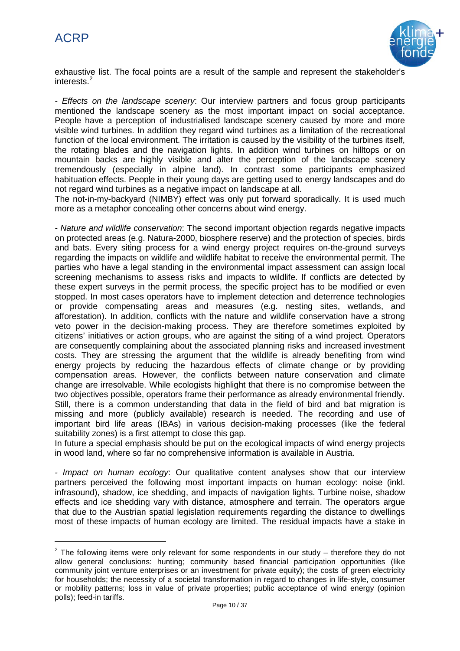

exhaustive list. The focal points are a result of the sample and represent the stakeholder's interests.<sup>[2](#page-9-0)</sup>

*- Effects on the landscape scenery*: Our interview partners and focus group participants mentioned the landscape scenery as the most important impact on social acceptance. People have a perception of industrialised landscape scenery caused by more and more visible wind turbines. In addition they regard wind turbines as a limitation of the recreational function of the local environment. The irritation is caused by the visibility of the turbines itself, the rotating blades and the navigation lights. In addition wind turbines on hilltops or on mountain backs are highly visible and alter the perception of the landscape scenery tremendously (especially in alpine land). In contrast some participants emphasized habituation effects. People in their young days are getting used to energy landscapes and do not regard wind turbines as a negative impact on landscape at all.

The not-in-my-backyard (NIMBY) effect was only put forward sporadically. It is used much more as a metaphor concealing other concerns about wind energy.

*- Nature and wildlife conservation*: The second important objection regards negative impacts on protected areas (e.g. Natura-2000, biosphere reserve) and the protection of species, birds and bats. Every siting process for a wind energy project requires on-the-ground surveys regarding the impacts on wildlife and wildlife habitat to receive the environmental permit. The parties who have a legal standing in the environmental impact assessment can assign local screening mechanisms to assess risks and impacts to wildlife. If conflicts are detected by these expert surveys in the permit process, the specific project has to be modified or even stopped. In most cases operators have to implement detection and deterrence technologies or provide compensating areas and measures (e.g. nesting sites, wetlands, and afforestation). In addition, conflicts with the nature and wildlife conservation have a strong veto power in the decision-making process. They are therefore sometimes exploited by citizens' initiatives or action groups, who are against the siting of a wind project. Operators are consequently complaining about the associated planning risks and increased investment costs. They are stressing the argument that the wildlife is already benefiting from wind energy projects by reducing the hazardous effects of climate change or by providing compensation areas. However, the conflicts between nature conservation and climate change are irresolvable. While ecologists highlight that there is no compromise between the two objectives possible, operators frame their performance as already environmental friendly. Still, there is a common understanding that data in the field of bird and bat migration is missing and more (publicly available) research is needed. The recording and use of important bird life areas (IBAs) in various decision-making processes (like the federal suitability zones) is a first attempt to close this gap.

In future a special emphasis should be put on the ecological impacts of wind energy projects in wood land, where so far no comprehensive information is available in Austria.

*- Impact on human ecology*: Our qualitative content analyses show that our interview partners perceived the following most important impacts on human ecology: noise (inkl. infrasound), shadow, ice shedding, and impacts of navigation lights. Turbine noise, shadow effects and ice shedding vary with distance, atmosphere and terrain. The operators argue that due to the Austrian spatial legislation requirements regarding the distance to dwellings most of these impacts of human ecology are limited. The residual impacts have a stake in

<span id="page-9-0"></span> $2$  The following items were only relevant for some respondents in our study – therefore they do not allow general conclusions: hunting; community based financial participation opportunities (like community joint venture enterprises or an investment for private equity); the costs of green electricity for households; the necessity of a societal transformation in regard to changes in life-style, consumer or mobility patterns; loss in value of private properties; public acceptance of wind energy (opinion polls); feed-in tariffs.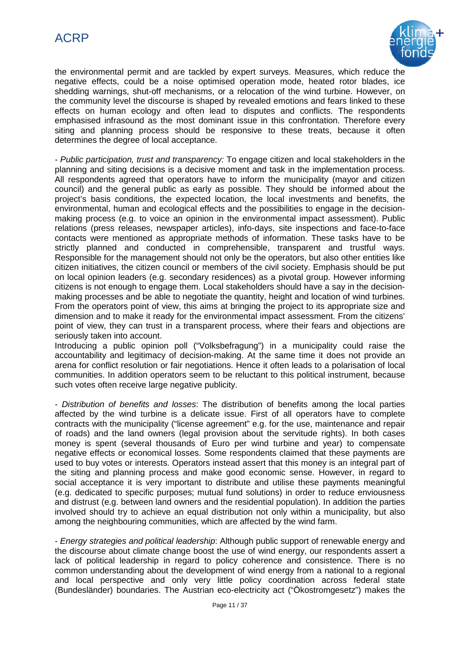

the environmental permit and are tackled by expert surveys. Measures, which reduce the negative effects, could be a noise optimised operation mode, heated rotor blades, ice shedding warnings, shut-off mechanisms, or a relocation of the wind turbine. However, on the community level the discourse is shaped by revealed emotions and fears linked to these effects on human ecology and often lead to disputes and conflicts. The respondents emphasised infrasound as the most dominant issue in this confrontation. Therefore every siting and planning process should be responsive to these treats, because it often determines the degree of local acceptance.

*- Public participation, trust and transparency:* To engage citizen and local stakeholders in the planning and siting decisions is a decisive moment and task in the implementation process. All respondents agreed that operators have to inform the municipality (mayor and citizen council) and the general public as early as possible. They should be informed about the project's basis conditions, the expected location, the local investments and benefits, the environmental, human and ecological effects and the possibilities to engage in the decisionmaking process (e.g. to voice an opinion in the environmental impact assessment). Public relations (press releases, newspaper articles), info-days, site inspections and face-to-face contacts were mentioned as appropriate methods of information. These tasks have to be strictly planned and conducted in comprehensible, transparent and trustful ways. Responsible for the management should not only be the operators, but also other entities like citizen initiatives, the citizen council or members of the civil society. Emphasis should be put on local opinion leaders (e.g. secondary residences) as a pivotal group. However informing citizens is not enough to engage them. Local stakeholders should have a say in the decisionmaking processes and be able to negotiate the quantity, height and location of wind turbines. From the operators point of view, this aims at bringing the project to its appropriate size and dimension and to make it ready for the environmental impact assessment. From the citizens' point of view, they can trust in a transparent process, where their fears and objections are seriously taken into account.

Introducing a public opinion poll ("Volksbefragung") in a municipality could raise the accountability and legitimacy of decision-making. At the same time it does not provide an arena for conflict resolution or fair negotiations. Hence it often leads to a polarisation of local communities. In addition operators seem to be reluctant to this political instrument, because such votes often receive large negative publicity.

*- Distribution of benefits and losses*: The distribution of benefits among the local parties affected by the wind turbine is a delicate issue. First of all operators have to complete contracts with the municipality ("license agreement" e.g. for the use, maintenance and repair of roads) and the land owners (legal provision about the servitude rights). In both cases money is spent (several thousands of Euro per wind turbine and year) to compensate negative effects or economical losses. Some respondents claimed that these payments are used to buy votes or interests. Operators instead assert that this money is an integral part of the siting and planning process and make good economic sense. However, in regard to social acceptance it is very important to distribute and utilise these payments meaningful (e.g. dedicated to specific purposes; mutual fund solutions) in order to reduce enviousness and distrust (e.g. between land owners and the residential population). In addition the parties involved should try to achieve an equal distribution not only within a municipality, but also among the neighbouring communities, which are affected by the wind farm.

*- Energy strategies and political leadership*: Although public support of renewable energy and the discourse about climate change boost the use of wind energy, our respondents assert a lack of political leadership in regard to policy coherence and consistence. There is no common understanding about the development of wind energy from a national to a regional and local perspective and only very little policy coordination across federal state (Bundesländer) boundaries. The Austrian eco-electricity act ("Ökostromgesetz") makes the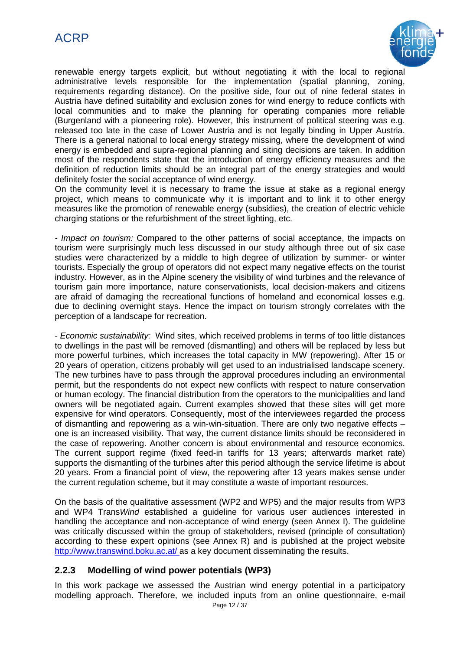# ACRP



renewable energy targets explicit, but without negotiating it with the local to regional administrative levels responsible for the implementation (spatial planning, zoning, requirements regarding distance). On the positive side, four out of nine federal states in Austria have defined suitability and exclusion zones for wind energy to reduce conflicts with local communities and to make the planning for operating companies more reliable (Burgenland with a pioneering role). However, this instrument of political steering was e.g. released too late in the case of Lower Austria and is not legally binding in Upper Austria. There is a general national to local energy strategy missing, where the development of wind energy is embedded and supra-regional planning and siting decisions are taken. In addition most of the respondents state that the introduction of energy efficiency measures and the definition of reduction limits should be an integral part of the energy strategies and would definitely foster the social acceptance of wind energy.

On the community level it is necessary to frame the issue at stake as a regional energy project, which means to communicate why it is important and to link it to other energy measures like the promotion of renewable energy (subsidies), the creation of electric vehicle charging stations or the refurbishment of the street lighting, etc.

*- Impact on tourism:* Compared to the other patterns of social acceptance, the impacts on tourism were surprisingly much less discussed in our study although three out of six case studies were characterized by a middle to high degree of utilization by summer- or winter tourists. Especially the group of operators did not expect many negative effects on the tourist industry. However, as in the Alpine scenery the visibility of wind turbines and the relevance of tourism gain more importance, nature conservationists, local decision-makers and citizens are afraid of damaging the recreational functions of homeland and economical losses e.g. due to declining overnight stays. Hence the impact on tourism strongly correlates with the perception of a landscape for recreation.

*- Economic sustainability:* Wind sites, which received problems in terms of too little distances to dwellings in the past will be removed (dismantling) and others will be replaced by less but more powerful turbines, which increases the total capacity in MW (repowering). After 15 or 20 years of operation, citizens probably will get used to an industrialised landscape scenery. The new turbines have to pass through the approval procedures including an environmental permit, but the respondents do not expect new conflicts with respect to nature conservation or human ecology. The financial distribution from the operators to the municipalities and land owners will be negotiated again. Current examples showed that these sites will get more expensive for wind operators. Consequently, most of the interviewees regarded the process of dismantling and repowering as a win-win-situation. There are only two negative effects – one is an increased visibility. That way, the current distance limits should be reconsidered in the case of repowering. Another concern is about environmental and resource economics. The current support regime (fixed feed-in tariffs for 13 years; afterwards market rate) supports the dismantling of the turbines after this period although the service lifetime is about 20 years. From a financial point of view, the repowering after 13 years makes sense under the current regulation scheme, but it may constitute a waste of important resources.

On the basis of the qualitative assessment (WP2 and WP5) and the major results from WP3 and WP4 Trans*Wind* established a guideline for various user audiences interested in handling the acceptance and non-acceptance of wind energy (seen Annex I). The guideline was critically discussed within the group of stakeholders, revised (principle of consultation) according to these expert opinions (see Annex R) and is published at the project website <http://www.transwind.boku.ac.at/> as a key document disseminating the results.

### **2.2.3 Modelling of wind power potentials (WP3)**

In this work package we assessed the Austrian wind energy potential in a participatory modelling approach. Therefore, we included inputs from an online questionnaire, e-mail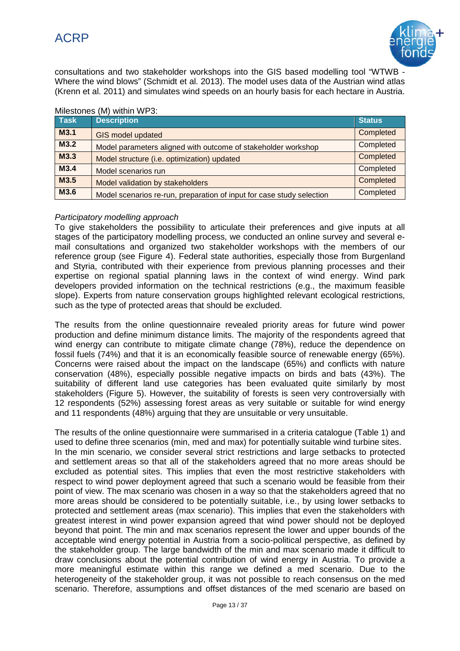

consultations and two stakeholder workshops into the GIS based modelling tool "WTWB - Where the wind blows" (Schmidt et al. 2013). The model uses data of the Austrian wind atlas (Krenn et al. 2011) and simulates wind speeds on an hourly basis for each hectare in Austria.

| <b>Task</b> | <b>Description</b>                                                    | <b>Status</b> |
|-------------|-----------------------------------------------------------------------|---------------|
| M3.1        | GIS model updated                                                     | Completed     |
| M3.2        | Model parameters aligned with outcome of stakeholder workshop         | Completed     |
| M3.3        | Model structure (i.e. optimization) updated                           | Completed     |
| M3.4        | Model scenarios run                                                   | Completed     |
| M3.5        | Model validation by stakeholders                                      | Completed     |
| M3.6        | Model scenarios re-run, preparation of input for case study selection | Completed     |

### Milestones (M) within WP3:

### *Participatory modelling approach*

To give stakeholders the possibility to articulate their preferences and give inputs at all stages of the participatory modelling process, we conducted an online survey and several email consultations and organized two stakeholder workshops with the members of our reference group (see Figure 4). Federal state authorities, especially those from Burgenland and Styria, contributed with their experience from previous planning processes and their expertise on regional spatial planning laws in the context of wind energy. Wind park developers provided information on the technical restrictions (e.g., the maximum feasible slope). Experts from nature conservation groups highlighted relevant ecological restrictions, such as the type of protected areas that should be excluded.

The results from the online questionnaire revealed priority areas for future wind power production and define minimum distance limits. The majority of the respondents agreed that wind energy can contribute to mitigate climate change (78%), reduce the dependence on fossil fuels (74%) and that it is an economically feasible source of renewable energy (65%). Concerns were raised about the impact on the landscape (65%) and conflicts with nature conservation (48%), especially possible negative impacts on birds and bats (43%). The suitability of different land use categories has been evaluated quite similarly by most stakeholders (Figure 5). However, the suitability of forests is seen very controversially with 12 respondents (52%) assessing forest areas as very suitable or suitable for wind energy and 11 respondents (48%) arguing that they are unsuitable or very unsuitable.

The results of the online questionnaire were summarised in a criteria catalogue (Table 1) and used to define three scenarios (min, med and max) for potentially suitable wind turbine sites. In the min scenario, we consider several strict restrictions and large setbacks to protected and settlement areas so that all of the stakeholders agreed that no more areas should be excluded as potential sites. This implies that even the most restrictive stakeholders with respect to wind power deployment agreed that such a scenario would be feasible from their point of view. The max scenario was chosen in a way so that the stakeholders agreed that no more areas should be considered to be potentially suitable, i.e., by using lower setbacks to protected and settlement areas (max scenario). This implies that even the stakeholders with greatest interest in wind power expansion agreed that wind power should not be deployed beyond that point. The min and max scenarios represent the lower and upper bounds of the acceptable wind energy potential in Austria from a socio-political perspective, as defined by the stakeholder group. The large bandwidth of the min and max scenario made it difficult to draw conclusions about the potential contribution of wind energy in Austria. To provide a more meaningful estimate within this range we defined a med scenario. Due to the heterogeneity of the stakeholder group, it was not possible to reach consensus on the med scenario. Therefore, assumptions and offset distances of the med scenario are based on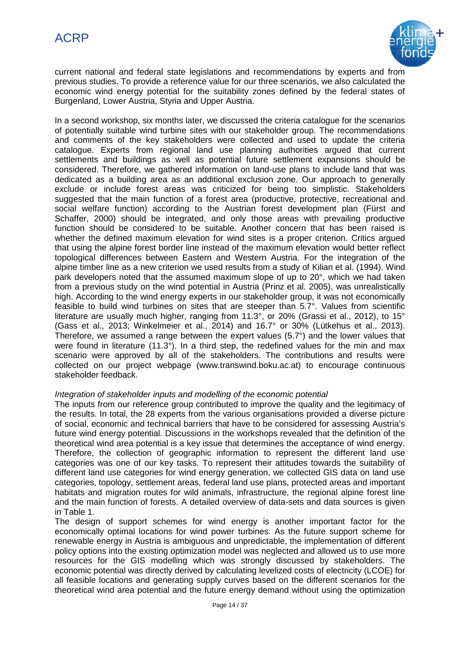

current national and federal state legislations and recommendations by experts and from previous studies. To provide a reference value for our three scenarios, we also calculated the economic wind energy potential for the suitability zones defined by the federal states of Burgenland, Lower Austria, Styria and Upper Austria.

In a second workshop, six months later, we discussed the criteria catalogue for the scenarios of potentially suitable wind turbine sites with our stakeholder group. The recommendations and comments of the key stakeholders were collected and used to update the criteria catalogue. Experts from regional land use planning authorities argued that current settlements and buildings as well as potential future settlement expansions should be considered. Therefore, we gathered information on land-use plans to include land that was dedicated as a building area as an additional exclusion zone. Our approach to generally exclude or include forest areas was criticized for being too simplistic. Stakeholders suggested that the main function of a forest area (productive, protective, recreational and social welfare function) according to the Austrian forest development plan (Fürst and Schaffer, 2000) should be integrated, and only those areas with prevailing productive function should be considered to be suitable. Another concern that has been raised is whether the defined maximum elevation for wind sites is a proper criterion. Critics argued that using the alpine forest border line instead of the maximum elevation would better reflect topological differences between Eastern and Western Austria. For the integration of the alpine timber line as a new criterion we used results from a study of Kilian et al. (1994). Wind park developers noted that the assumed maximum slope of up to 20°, which we had taken from a previous study on the wind potential in Austria (Prinz et al. 2005), was unrealistically high. According to the wind energy experts in our stakeholder group, it was not economically feasible to build wind turbines on sites that are steeper than 5.7°. Values from scientific literature are usually much higher, ranging from 11.3°, or 20% (Grassi et al., 2012), to 15° (Gass et al., 2013; Winkelmeier et al., 2014) and 16.7° or 30% (Lütkehus et al., 2013). Therefore, we assumed a range between the expert values (5.7°) and the lower values that were found in literature (11.3°). In a third step, the redefined values for the min and max scenario were approved by all of the stakeholders. The contributions and results were collected on our project webpage (www.transwind.boku.ac.at) to encourage continuous stakeholder feedback.

### *Integration of stakeholder inputs and modelling of the economic potential*

The inputs from our reference group contributed to improve the quality and the legitimacy of the results. In total, the 28 experts from the various organisations provided a diverse picture of social, economic and technical barriers that have to be considered for assessing Austria's future wind energy potential. Discussions in the workshops revealed that the definition of the theoretical wind area potential is a key issue that determines the acceptance of wind energy. Therefore, the collection of geographic information to represent the different land use categories was one of our key tasks. To represent their attitudes towards the suitability of different land use categories for wind energy generation, we collected GIS data on land use categories, topology, settlement areas, federal land use plans, protected areas and important habitats and migration routes for wild animals, infrastructure, the regional alpine forest line and the main function of forests. A detailed overview of data-sets and data sources is given in Table 1.

The design of support schemes for wind energy is another important factor for the economically optimal locations for wind power turbines. As the future support scheme for renewable energy in Austria is ambiguous and unpredictable, the implementation of different policy options into the existing optimization model was neglected and allowed us to use more resources for the GIS modelling which was strongly discussed by stakeholders. The economic potential was directly derived by calculating levelized costs of electricity (LCOE) for all feasible locations and generating supply curves based on the different scenarios for the theoretical wind area potential and the future energy demand without using the optimization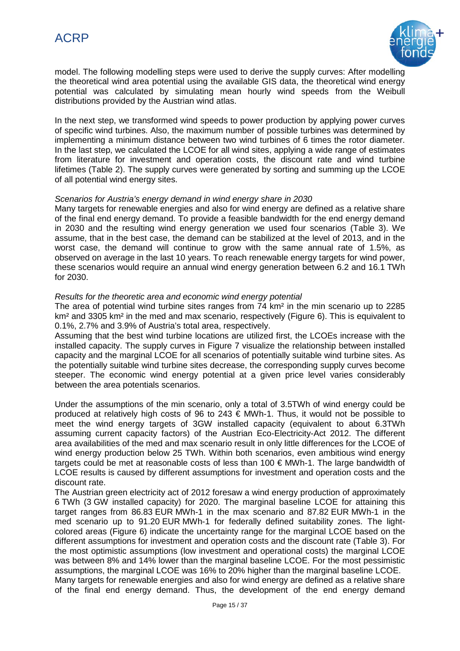

model. The following modelling steps were used to derive the supply curves: After modelling the theoretical wind area potential using the available GIS data, the theoretical wind energy potential was calculated by simulating mean hourly wind speeds from the Weibull distributions provided by the Austrian wind atlas.

In the next step, we transformed wind speeds to power production by applying power curves of specific wind turbines. Also, the maximum number of possible turbines was determined by implementing a minimum distance between two wind turbines of 6 times the rotor diameter. In the last step, we calculated the LCOE for all wind sites, applying a wide range of estimates from literature for investment and operation costs, the discount rate and wind turbine lifetimes (Table 2). The supply curves were generated by sorting and summing up the LCOE of all potential wind energy sites.

### *Scenarios for Austria's energy demand in wind energy share in 2030*

Many targets for renewable energies and also for wind energy are defined as a relative share of the final end energy demand. To provide a feasible bandwidth for the end energy demand in 2030 and the resulting wind energy generation we used four scenarios (Table 3). We assume, that in the best case, the demand can be stabilized at the level of 2013, and in the worst case, the demand will continue to grow with the same annual rate of 1.5%, as observed on average in the last 10 years. To reach renewable energy targets for wind power, these scenarios would require an annual wind energy generation between 6.2 and 16.1 TWh for 2030.

### *Results for the theoretic area and economic wind energy potential*

The area of potential wind turbine sites ranges from 74 km² in the min scenario up to 2285 km<sup>2</sup> and 3305 km<sup>2</sup> in the med and max scenario, respectively (Figure 6). This is equivalent to 0.1%, 2.7% and 3.9% of Austria's total area, respectively.

Assuming that the best wind turbine locations are utilized first, the LCOEs increase with the installed capacity. The supply curves in Figure 7 visualize the relationship between installed capacity and the marginal LCOE for all scenarios of potentially suitable wind turbine sites. As the potentially suitable wind turbine sites decrease, the corresponding supply curves become steeper. The economic wind energy potential at a given price level varies considerably between the area potentials scenarios.

Under the assumptions of the min scenario, only a total of 3.5TWh of wind energy could be produced at relatively high costs of 96 to 243  $\epsilon$  MWh-1. Thus, it would not be possible to meet the wind energy targets of 3GW installed capacity (equivalent to about 6.3TWh assuming current capacity factors) of the Austrian Eco-Electricity-Act 2012. The different area availabilities of the med and max scenario result in only little differences for the LCOE of wind energy production below 25 TWh. Within both scenarios, even ambitious wind energy targets could be met at reasonable costs of less than 100 € MWh-1. The large bandwidth of LCOE results is caused by different assumptions for investment and operation costs and the discount rate.

The Austrian green electricity act of 2012 foresaw a wind energy production of approximately 6 TWh (3 GW installed capacity) for 2020. The marginal baseline LCOE for attaining this target ranges from 86.83 EUR MWh-1 in the max scenario and 87.82 EUR MWh-1 in the med scenario up to 91.20 EUR MWh-1 for federally defined suitability zones. The lightcolored areas (Figure 6) indicate the uncertainty range for the marginal LCOE based on the different assumptions for investment and operation costs and the discount rate (Table 3). For the most optimistic assumptions (low investment and operational costs) the marginal LCOE was between 8% and 14% lower than the marginal baseline LCOE. For the most pessimistic assumptions, the marginal LCOE was 16% to 20% higher than the marginal baseline LCOE. Many targets for renewable energies and also for wind energy are defined as a relative share of the final end energy demand. Thus, the development of the end energy demand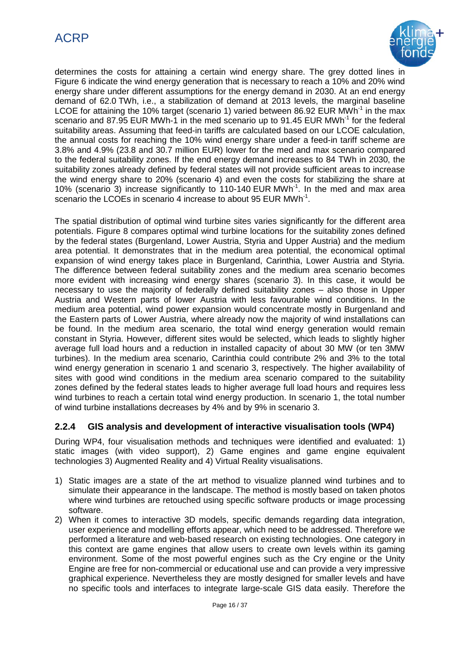

determines the costs for attaining a certain wind energy share. The grey dotted lines in Figure 6 indicate the wind energy generation that is necessary to reach a 10% and 20% wind energy share under different assumptions for the energy demand in 2030. At an end energy demand of 62.0 TWh, i.e., a stabilization of demand at 2013 levels, the marginal baseline LCOE for attaining the 10% target (scenario 1) varied between 86.92 EUR MWh<sup>-1</sup> in the max scenario and 87.95 EUR MWh-1 in the med scenario up to 91.45 EUR MWh<sup>-1</sup> for the federal suitability areas. Assuming that feed-in tariffs are calculated based on our LCOE calculation, the annual costs for reaching the 10% wind energy share under a feed-in tariff scheme are 3.8% and 4.9% (23.8 and 30.7 million EUR) lower for the med and max scenario compared to the federal suitability zones. If the end energy demand increases to 84 TWh in 2030, the suitability zones already defined by federal states will not provide sufficient areas to increase the wind energy share to 20% (scenario 4) and even the costs for stabilizing the share at 10% (scenario 3) increase significantly to 110-140 EUR MWh<sup>-1</sup>. In the med and max area scenario the LCOEs in scenario 4 increase to about 95 EUR MWh<sup>-1</sup>.

The spatial distribution of optimal wind turbine sites varies significantly for the different area potentials. Figure 8 compares optimal wind turbine locations for the suitability zones defined by the federal states (Burgenland, Lower Austria, Styria and Upper Austria) and the medium area potential. It demonstrates that in the medium area potential, the economical optimal expansion of wind energy takes place in Burgenland, Carinthia, Lower Austria and Styria. The difference between federal suitability zones and the medium area scenario becomes more evident with increasing wind energy shares (scenario 3). In this case, it would be necessary to use the majority of federally defined suitability zones – also those in Upper Austria and Western parts of lower Austria with less favourable wind conditions. In the medium area potential, wind power expansion would concentrate mostly in Burgenland and the Eastern parts of Lower Austria, where already now the majority of wind installations can be found. In the medium area scenario, the total wind energy generation would remain constant in Styria. However, different sites would be selected, which leads to slightly higher average full load hours and a reduction in installed capacity of about 30 MW (or ten 3MW turbines). In the medium area scenario, Carinthia could contribute 2% and 3% to the total wind energy generation in scenario 1 and scenario 3, respectively. The higher availability of sites with good wind conditions in the medium area scenario compared to the suitability zones defined by the federal states leads to higher average full load hours and requires less wind turbines to reach a certain total wind energy production. In scenario 1, the total number of wind turbine installations decreases by 4% and by 9% in scenario 3.

### **2.2.4 GIS analysis and development of interactive visualisation tools (WP4)**

During WP4, four visualisation methods and techniques were identified and evaluated: 1) static images (with video support), 2) Game engines and game engine equivalent technologies 3) Augmented Reality and 4) Virtual Reality visualisations.

- 1) Static images are a state of the art method to visualize planned wind turbines and to simulate their appearance in the landscape. The method is mostly based on taken photos where wind turbines are retouched using specific software products or image processing software.
- 2) When it comes to interactive 3D models, specific demands regarding data integration, user experience and modelling efforts appear, which need to be addressed. Therefore we performed a literature and web-based research on existing technologies. One category in this context are game engines that allow users to create own levels within its gaming environment. Some of the most powerful engines such as the Cry engine or the Unity Engine are free for non-commercial or educational use and can provide a very impressive graphical experience. Nevertheless they are mostly designed for smaller levels and have no specific tools and interfaces to integrate large-scale GIS data easily. Therefore the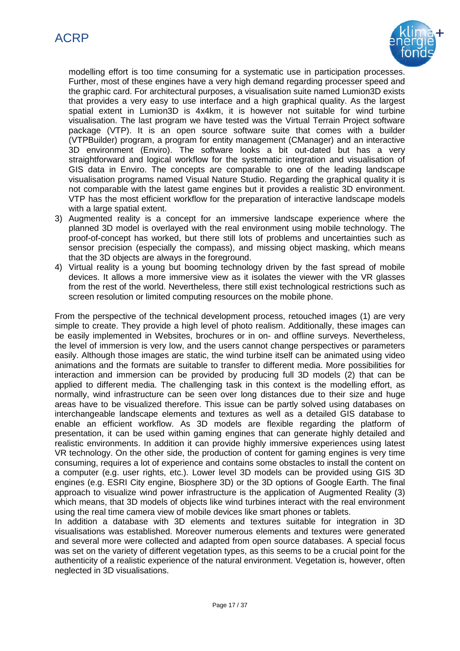

modelling effort is too time consuming for a systematic use in participation processes. Further, most of these engines have a very high demand regarding processer speed and the graphic card. For architectural purposes, a visualisation suite named Lumion3D exists that provides a very easy to use interface and a high graphical quality. As the largest spatial extent in Lumion3D is 4x4km, it is however not suitable for wind turbine visualisation. The last program we have tested was the Virtual Terrain Project software package (VTP). It is an open source software suite that comes with a builder (VTPBuilder) program, a program for entity management (CManager) and an interactive 3D environment (Enviro). The software looks a bit out-dated but has a very straightforward and logical workflow for the systematic integration and visualisation of GIS data in Enviro. The concepts are comparable to one of the leading landscape visualisation programs named Visual Nature Studio. Regarding the graphical quality it is not comparable with the latest game engines but it provides a realistic 3D environment. VTP has the most efficient workflow for the preparation of interactive landscape models with a large spatial extent.

- 3) Augmented reality is a concept for an immersive landscape experience where the planned 3D model is overlayed with the real environment using mobile technology. The proof-of-concept has worked, but there still lots of problems and uncertainties such as sensor precision (especially the compass), and missing object masking, which means that the 3D objects are always in the foreground.
- 4) Virtual reality is a young but booming technology driven by the fast spread of mobile devices. It allows a more immersive view as it isolates the viewer with the VR glasses from the rest of the world. Nevertheless, there still exist technological restrictions such as screen resolution or limited computing resources on the mobile phone.

From the perspective of the technical development process, retouched images (1) are very simple to create. They provide a high level of photo realism. Additionally, these images can be easily implemented in Websites, brochures or in on- and offline surveys. Nevertheless, the level of immersion is very low, and the users cannot change perspectives or parameters easily. Although those images are static, the wind turbine itself can be animated using video animations and the formats are suitable to transfer to different media. More possibilities for interaction and immersion can be provided by producing full 3D models (2) that can be applied to different media. The challenging task in this context is the modelling effort, as normally, wind infrastructure can be seen over long distances due to their size and huge areas have to be visualized therefore. This issue can be partly solved using databases on interchangeable landscape elements and textures as well as a detailed GIS database to enable an efficient workflow. As 3D models are flexible regarding the platform of presentation, it can be used within gaming engines that can generate highly detailed and realistic environments. In addition it can provide highly immersive experiences using latest VR technology. On the other side, the production of content for gaming engines is very time consuming, requires a lot of experience and contains some obstacles to install the content on a computer (e.g. user rights, etc.). Lower level 3D models can be provided using GIS 3D engines (e.g. ESRI City engine, Biosphere 3D) or the 3D options of Google Earth. The final approach to visualize wind power infrastructure is the application of Augmented Reality (3) which means, that 3D models of objects like wind turbines interact with the real environment using the real time camera view of mobile devices like smart phones or tablets.

In addition a database with 3D elements and textures suitable for integration in 3D visualisations was established. Moreover numerous elements and textures were generated and several more were collected and adapted from open source databases. A special focus was set on the variety of different vegetation types, as this seems to be a crucial point for the authenticity of a realistic experience of the natural environment. Vegetation is, however, often neglected in 3D visualisations.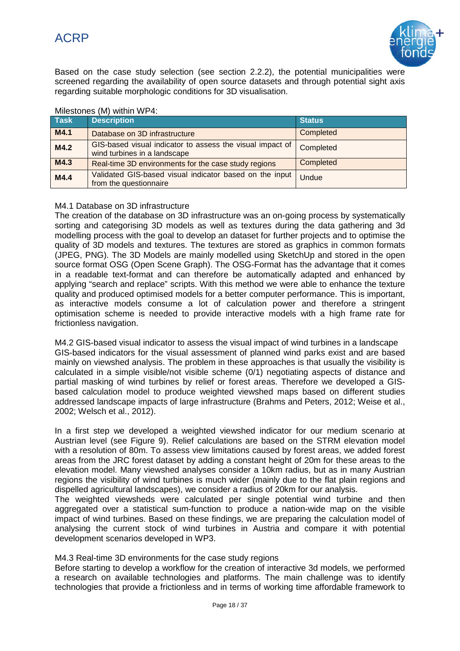

Based on the case study selection (see section 2.2.2), the potential municipalities were screened regarding the availability of open source datasets and through potential sight axis regarding suitable morphologic conditions for 3D visualisation.

| <b>Task</b> | <b>Description</b>                                                                        | <b>Status</b> |
|-------------|-------------------------------------------------------------------------------------------|---------------|
| M4.1        | Database on 3D infrastructure                                                             | Completed     |
| M4.2        | GIS-based visual indicator to assess the visual impact of<br>wind turbines in a landscape | Completed     |
| M4.3        | Real-time 3D environments for the case study regions                                      | Completed     |
| M4.4        | Validated GIS-based visual indicator based on the input<br>from the questionnaire         | Undue         |

### Milestones (M) within WP4:

### M4.1 Database on 3D infrastructure

The creation of the database on 3D infrastructure was an on-going process by systematically sorting and categorising 3D models as well as textures during the data gathering and 3d modelling process with the goal to develop an dataset for further projects and to optimise the quality of 3D models and textures. The textures are stored as graphics in common formats (JPEG, PNG). The 3D Models are mainly modelled using SketchUp and stored in the open source format OSG (Open Scene Graph). The OSG-Format has the advantage that it comes in a readable text-format and can therefore be automatically adapted and enhanced by applying "search and replace" scripts. With this method we were able to enhance the texture quality and produced optimised models for a better computer performance. This is important, as interactive models consume a lot of calculation power and therefore a stringent optimisation scheme is needed to provide interactive models with a high frame rate for frictionless navigation.

M4.2 GIS-based visual indicator to assess the visual impact of wind turbines in a landscape GIS-based indicators for the visual assessment of planned wind parks exist and are based mainly on viewshed analysis. The problem in these approaches is that usually the visibility is calculated in a simple visible/not visible scheme (0/1) negotiating aspects of distance and partial masking of wind turbines by relief or forest areas. Therefore we developed a GISbased calculation model to produce weighted viewshed maps based on different studies addressed landscape impacts of large infrastructure (Brahms and Peters, 2012; Weise et al., 2002; Welsch et al., 2012).

In a first step we developed a weighted viewshed indicator for our medium scenario at Austrian level (see Figure 9). Relief calculations are based on the STRM elevation model with a resolution of 80m. To assess view limitations caused by forest areas, we added forest areas from the JRC forest dataset by adding a constant height of 20m for these areas to the elevation model. Many viewshed analyses consider a 10km radius, but as in many Austrian regions the visibility of wind turbines is much wider (mainly due to the flat plain regions and dispelled agricultural landscapes), we consider a radius of 20km for our analysis.

The weighted viewsheds were calculated per single potential wind turbine and then aggregated over a statistical sum-function to produce a nation-wide map on the visible impact of wind turbines. Based on these findings, we are preparing the calculation model of analysing the current stock of wind turbines in Austria and compare it with potential development scenarios developed in WP3.

M4.3 Real-time 3D environments for the case study regions

Before starting to develop a workflow for the creation of interactive 3d models, we performed a research on available technologies and platforms. The main challenge was to identify technologies that provide a frictionless and in terms of working time affordable framework to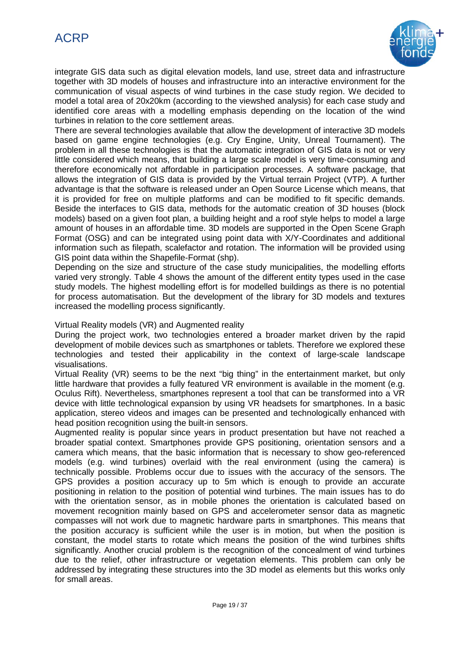# ACRP



integrate GIS data such as digital elevation models, land use, street data and infrastructure together with 3D models of houses and infrastructure into an interactive environment for the communication of visual aspects of wind turbines in the case study region. We decided to model a total area of 20x20km (according to the viewshed analysis) for each case study and identified core areas with a modelling emphasis depending on the location of the wind turbines in relation to the core settlement areas.

There are several technologies available that allow the development of interactive 3D models based on game engine technologies (e.g. Cry Engine, Unity, Unreal Tournament). The problem in all these technologies is that the automatic integration of GIS data is not or very little considered which means, that building a large scale model is very time-consuming and therefore economically not affordable in participation processes. A software package, that allows the integration of GIS data is provided by the Virtual terrain Project (VTP). A further advantage is that the software is released under an Open Source License which means, that it is provided for free on multiple platforms and can be modified to fit specific demands. Beside the interfaces to GIS data, methods for the automatic creation of 3D houses (block models) based on a given foot plan, a building height and a roof style helps to model a large amount of houses in an affordable time. 3D models are supported in the Open Scene Graph Format (OSG) and can be integrated using point data with X/Y-Coordinates and additional information such as filepath, scalefactor and rotation. The information will be provided using GIS point data within the Shapefile-Format (shp).

Depending on the size and structure of the case study municipalities, the modelling efforts varied very strongly. Table 4 shows the amount of the different entity types used in the case study models. The highest modelling effort is for modelled buildings as there is no potential for process automatisation. But the development of the library for 3D models and textures increased the modelling process significantly.

Virtual Reality models (VR) and Augmented reality

During the project work, two technologies entered a broader market driven by the rapid development of mobile devices such as smartphones or tablets. Therefore we explored these technologies and tested their applicability in the context of large-scale landscape visualisations.

Virtual Reality (VR) seems to be the next "big thing" in the entertainment market, but only little hardware that provides a fully featured VR environment is available in the moment (e.g. Oculus Rift). Nevertheless, smartphones represent a tool that can be transformed into a VR device with little technological expansion by using VR headsets for smartphones. In a basic application, stereo videos and images can be presented and technologically enhanced with head position recognition using the built-in sensors.

Augmented reality is popular since years in product presentation but have not reached a broader spatial context. Smartphones provide GPS positioning, orientation sensors and a camera which means, that the basic information that is necessary to show geo-referenced models (e.g. wind turbines) overlaid with the real environment (using the camera) is technically possible. Problems occur due to issues with the accuracy of the sensors. The GPS provides a position accuracy up to 5m which is enough to provide an accurate positioning in relation to the position of potential wind turbines. The main issues has to do with the orientation sensor, as in mobile phones the orientation is calculated based on movement recognition mainly based on GPS and accelerometer sensor data as magnetic compasses will not work due to magnetic hardware parts in smartphones. This means that the position accuracy is sufficient while the user is in motion, but when the position is constant, the model starts to rotate which means the position of the wind turbines shifts significantly. Another crucial problem is the recognition of the concealment of wind turbines due to the relief, other infrastructure or vegetation elements. This problem can only be addressed by integrating these structures into the 3D model as elements but this works only for small areas.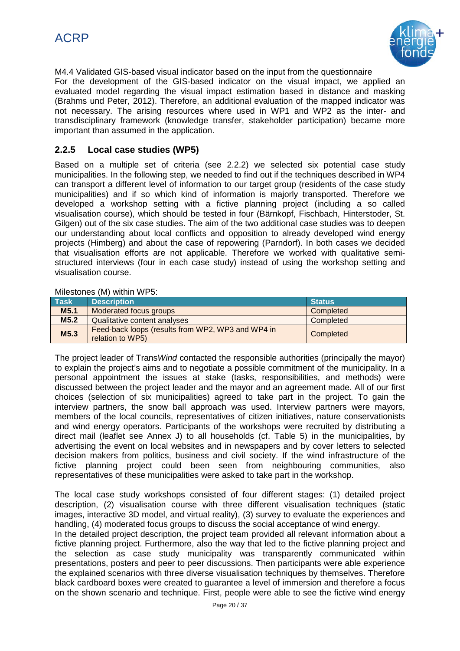

M4.4 Validated GIS-based visual indicator based on the input from the questionnaire For the development of the GIS-based indicator on the visual impact, we applied an evaluated model regarding the visual impact estimation based in distance and masking (Brahms und Peter, 2012). Therefore, an additional evaluation of the mapped indicator was not necessary. The arising resources where used in WP1 and WP2 as the inter- and transdisciplinary framework (knowledge transfer, stakeholder participation) became more important than assumed in the application.

### **2.2.5 Local case studies (WP5)**

Based on a multiple set of criteria (see 2.2.2) we selected six potential case study municipalities. In the following step, we needed to find out if the techniques described in WP4 can transport a different level of information to our target group (residents of the case study municipalities) and if so which kind of information is majorly transported. Therefore we developed a workshop setting with a fictive planning project (including a so called visualisation course), which should be tested in four (Bärnkopf, Fischbach, Hinterstoder, St. Gilgen) out of the six case studies. The aim of the two additional case studies was to deepen our understanding about local conflicts and opposition to already developed wind energy projects (Himberg) and about the case of repowering (Parndorf). In both cases we decided that visualisation efforts are not applicable. Therefore we worked with qualitative semistructured interviews (four in each case study) instead of using the workshop setting and visualisation course.

### Milestones (M) within WP5:

| <b>Task</b>      | <b>Description</b>                                                    | <b>Status</b> |
|------------------|-----------------------------------------------------------------------|---------------|
| M <sub>5.1</sub> | Moderated focus groups                                                | Completed     |
| M5.2             | Qualitative content analyses                                          | Completed     |
| M5.3             | Feed-back loops (results from WP2, WP3 and WP4 in<br>relation to WP5) | Completed     |

The project leader of Trans*Wind* contacted the responsible authorities (principally the mayor) to explain the project's aims and to negotiate a possible commitment of the municipality. In a personal appointment the issues at stake (tasks, responsibilities, and methods) were discussed between the project leader and the mayor and an agreement made. All of our first choices (selection of six municipalities) agreed to take part in the project. To gain the interview partners, the snow ball approach was used. Interview partners were mayors, members of the local councils, representatives of citizen initiatives, nature conservationists and wind energy operators. Participants of the workshops were recruited by distributing a direct mail (leaflet see Annex J) to all households (cf. Table 5) in the municipalities, by advertising the event on local websites and in newspapers and by cover letters to selected decision makers from politics, business and civil society. If the wind infrastructure of the fictive planning project could been seen from neighbouring communities, also representatives of these municipalities were asked to take part in the workshop.

The local case study workshops consisted of four different stages: (1) detailed project description, (2) visualisation course with three different visualisation techniques (static images, interactive 3D model, and virtual reality), (3) survey to evaluate the experiences and handling, (4) moderated focus groups to discuss the social acceptance of wind energy.

In the detailed project description, the project team provided all relevant information about a fictive planning project. Furthermore, also the way that led to the fictive planning project and the selection as case study municipality was transparently communicated within presentations, posters and peer to peer discussions. Then participants were able experience the explained scenarios with three diverse visualisation techniques by themselves. Therefore black cardboard boxes were created to guarantee a level of immersion and therefore a focus on the shown scenario and technique. First, people were able to see the fictive wind energy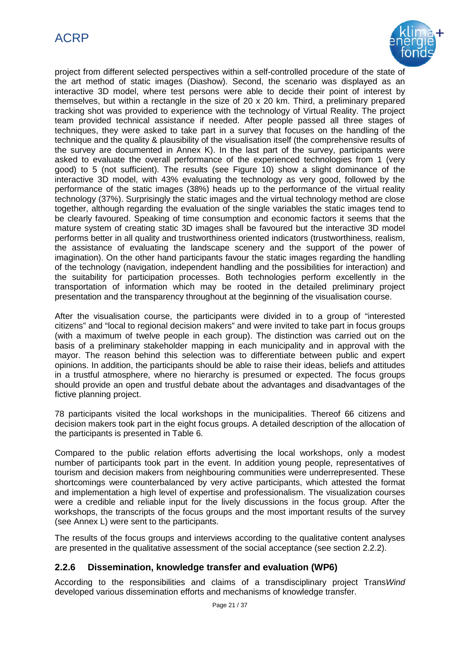

project from different selected perspectives within a self-controlled procedure of the state of the art method of static images (Diashow). Second, the scenario was displayed as an interactive 3D model, where test persons were able to decide their point of interest by themselves, but within a rectangle in the size of 20 x 20 km. Third, a preliminary prepared tracking shot was provided to experience with the technology of Virtual Reality. The project team provided technical assistance if needed. After people passed all three stages of techniques, they were asked to take part in a survey that focuses on the handling of the technique and the quality & plausibility of the visualisation itself (the comprehensive results of the survey are documented in Annex K). In the last part of the survey, participants were asked to evaluate the overall performance of the experienced technologies from 1 (very good) to 5 (not sufficient). The results (see Figure 10) show a slight dominance of the interactive 3D model, with 43% evaluating the technology as very good, followed by the performance of the static images (38%) heads up to the performance of the virtual reality technology (37%). Surprisingly the static images and the virtual technology method are close together, although regarding the evaluation of the single variables the static images tend to be clearly favoured. Speaking of time consumption and economic factors it seems that the mature system of creating static 3D images shall be favoured but the interactive 3D model performs better in all quality and trustworthiness oriented indicators (trustworthiness, realism, the assistance of evaluating the landscape scenery and the support of the power of imagination). On the other hand participants favour the static images regarding the handling of the technology (navigation, independent handling and the possibilities for interaction) and the suitability for participation processes. Both technologies perform excellently in the transportation of information which may be rooted in the detailed preliminary project presentation and the transparency throughout at the beginning of the visualisation course.

After the visualisation course, the participants were divided in to a group of "interested citizens" and "local to regional decision makers" and were invited to take part in focus groups (with a maximum of twelve people in each group). The distinction was carried out on the basis of a preliminary stakeholder mapping in each municipality and in approval with the mayor. The reason behind this selection was to differentiate between public and expert opinions. In addition, the participants should be able to raise their ideas, beliefs and attitudes in a trustful atmosphere, where no hierarchy is presumed or expected. The focus groups should provide an open and trustful debate about the advantages and disadvantages of the fictive planning project.

78 participants visited the local workshops in the municipalities. Thereof 66 citizens and decision makers took part in the eight focus groups. A detailed description of the allocation of the participants is presented in Table 6.

Compared to the public relation efforts advertising the local workshops, only a modest number of participants took part in the event. In addition young people, representatives of tourism and decision makers from neighbouring communities were underrepresented. These shortcomings were counterbalanced by very active participants, which attested the format and implementation a high level of expertise and professionalism. The visualization courses were a credible and reliable input for the lively discussions in the focus group. After the workshops, the transcripts of the focus groups and the most important results of the survey (see Annex L) were sent to the participants.

The results of the focus groups and interviews according to the qualitative content analyses are presented in the qualitative assessment of the social acceptance (see section 2.2.2).

### **2.2.6 Dissemination, knowledge transfer and evaluation (WP6)**

According to the responsibilities and claims of a transdisciplinary project Trans*Wind* developed various dissemination efforts and mechanisms of knowledge transfer.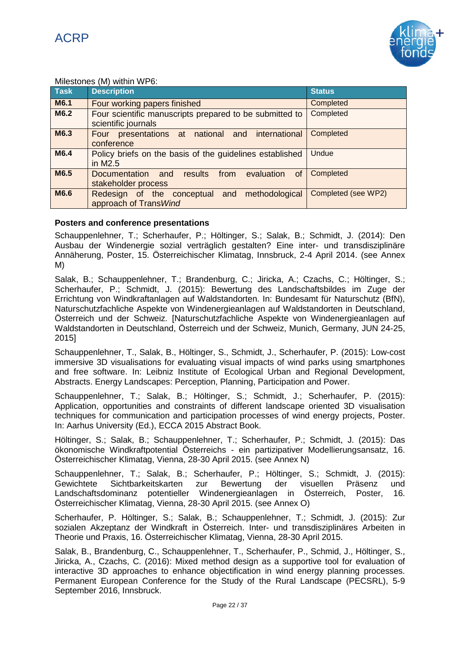

### Milestones (M) within WP6:

| <b>Task</b> | <b>Description</b>                                                             | <b>Status</b>       |  |  |  |
|-------------|--------------------------------------------------------------------------------|---------------------|--|--|--|
| M6.1        | Four working papers finished                                                   | Completed           |  |  |  |
| M6.2        | Four scientific manuscripts prepared to be submitted to<br>scientific journals | Completed           |  |  |  |
| M6.3        | Four presentations at national and international<br>conference                 | Completed           |  |  |  |
| M6.4        | Policy briefs on the basis of the guidelines established<br>in M2.5            | Undue               |  |  |  |
| M6.5        | Documentation and results from evaluation<br><b>of</b><br>stakeholder process  | Completed           |  |  |  |
| M6.6        | Redesign of the conceptual and methodological<br>approach of Trans Wind        | Completed (see WP2) |  |  |  |

### **Posters and conference presentations**

Schauppenlehner, T.; Scherhaufer, P.; Höltinger, S.; Salak, B.; Schmidt, J. (2014): Den Ausbau der Windenergie sozial verträglich gestalten? Eine inter- und transdisziplinäre Annäherung, Poster, 15. Österreichischer Klimatag, Innsbruck, 2-4 April 2014. (see Annex M)

Salak, B.; Schauppenlehner, T.; Brandenburg, C.; Jiricka, A.; Czachs, C.; Höltinger, S.; Scherhaufer, P.; Schmidt, J. (2015): Bewertung des Landschaftsbildes im Zuge der Errichtung von Windkraftanlagen auf Waldstandorten. In: Bundesamt für Naturschutz (BfN), Naturschutzfachliche Aspekte von Windenergieanlagen auf Waldstandorten in Deutschland, Österreich und der Schweiz. [Naturschutzfachliche Aspekte von Windenergieanlagen auf Waldstandorten in Deutschland, Österreich und der Schweiz, Munich, Germany, JUN 24-25, 2015]

Schauppenlehner, T., Salak, B., Höltinger, S., Schmidt, J., Scherhaufer, P. (2015): Low-cost immersive 3D visualisations for evaluating visual impacts of wind parks using smartphones and free software. In: Leibniz Institute of Ecological Urban and Regional Development, Abstracts. Energy Landscapes: Perception, Planning, Participation and Power.

Schauppenlehner, T.; Salak, B.; Höltinger, S.; Schmidt, J.; Scherhaufer, P. (2015): Application, opportunities and constraints of different landscape oriented 3D visualisation techniques for communication and participation processes of wind energy projects, Poster. In: Aarhus University (Ed.), ECCA 2015 Abstract Book.

Höltinger, S.; Salak, B.; Schauppenlehner, T.; Scherhaufer, P.; Schmidt, J. (2015): Das ökonomische Windkraftpotential Österreichs - ein partizipativer Modellierungsansatz, 16. Österreichischer Klimatag, Vienna, 28-30 April 2015. (see Annex N)

Schauppenlehner, T.; Salak, B.; Scherhaufer, P.; Höltinger, S.; Schmidt, J. (2015): Gewichtete Sichtbarkeitskarten zur Bewertung der visuellen Präsenz und Landschaftsdominanz potentieller Windenergieanlagen in Österreich, Poster, 16. Österreichischer Klimatag, Vienna, 28-30 April 2015. (see Annex O)

Scherhaufer, P. Höltinger, S.; Salak, B.; Schauppenlehner, T.; Schmidt, J. (2015): Zur sozialen Akzeptanz der Windkraft in Österreich. Inter- und transdisziplinäres Arbeiten in Theorie und Praxis, 16. Österreichischer Klimatag, Vienna, 28-30 April 2015.

Salak, B., Brandenburg, C., Schauppenlehner, T., Scherhaufer, P., Schmid, J., Höltinger, S., Jiricka, A., Czachs, C. (2016): Mixed method design as a supportive tool for evaluation of interactive 3D approaches to enhance objectification in wind energy planning processes. Permanent European Conference for the Study of the Rural Landscape (PECSRL), 5-9 September 2016, Innsbruck.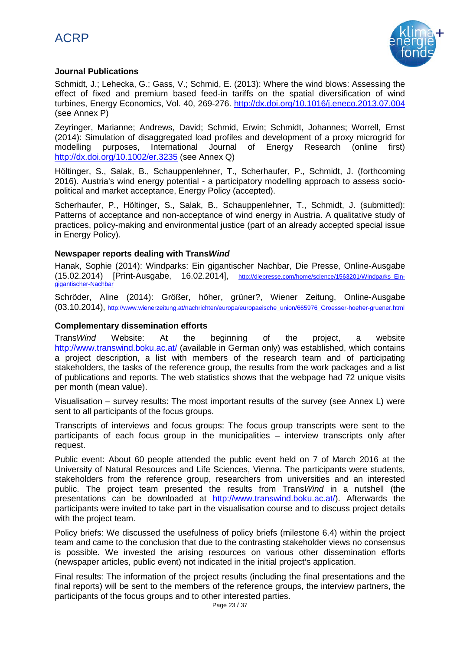# ACRP



### **Journal Publications**

Schmidt, J.; Lehecka, G.; Gass, V.; Schmid, E. (2013): Where the wind blows: Assessing the effect of fixed and premium based feed-in tariffs on the spatial diversification of wind turbines, Energy Economics, Vol. 40, 269-276.<http://dx.doi.org/10.1016/j.eneco.2013.07.004> (see Annex P)

Zeyringer, Marianne; Andrews, David; Schmid, Erwin; Schmidt, Johannes; Worrell, Ernst (2014): Simulation of disaggregated load profiles and development of a proxy microgrid for modelling purposes, International Journal of Energy Research (online first) <http://dx.doi.org/10.1002/er.3235> (see Annex Q)

Höltinger, S., Salak, B., Schauppenlehner, T., Scherhaufer, P., Schmidt, J. (forthcoming 2016). Austria's wind energy potential - a participatory modelling approach to assess sociopolitical and market acceptance, Energy Policy (accepted).

Scherhaufer, P., Höltinger, S., Salak, B., Schauppenlehner, T., Schmidt, J. (submitted): Patterns of acceptance and non-acceptance of wind energy in Austria. A qualitative study of practices, policy-making and environmental justice (part of an already accepted special issue in Energy Policy).

### **Newspaper reports dealing with Trans***Wind*

Hanak, Sophie (2014): Windparks: Ein gigantischer Nachbar, Die Presse, Online-Ausgabe (15.02.2014) [Print-Ausgabe, 16.02.2014], [http://diepresse.com/home/science/1563201/Windparks\\_Ein](http://diepresse.com/home/science/1563201/Windparks_Ein-gigantischer-Nachbar)[gigantischer-Nachbar](http://diepresse.com/home/science/1563201/Windparks_Ein-gigantischer-Nachbar)

Schröder, Aline (2014): Größer, höher, grüner?, Wiener Zeitung, Online-Ausgabe (03.10.2014), [http://www.wienerzeitung.at/nachrichten/europa/europaeische\\_union/665976\\_Groesser-hoeher-gruener.html](http://www.wienerzeitung.at/nachrichten/europa/europaeische_union/665976_Groesser-hoeher-gruener.html)

### **Complementary dissemination efforts**

Trans*Wind* Website: At the beginning of the project, a website <http://www.transwind.boku.ac.at/> (available in German only) was established, which contains a project description, a list with members of the research team and of participating stakeholders, the tasks of the reference group, the results from the work packages and a list of publications and reports. The web statistics shows that the webpage had 72 unique visits per month (mean value).

Visualisation – survey results: The most important results of the survey (see Annex L) were sent to all participants of the focus groups.

Transcripts of interviews and focus groups: The focus group transcripts were sent to the participants of each focus group in the municipalities – interview transcripts only after request.

Public event: About 60 people attended the public event held on 7 of March 2016 at the University of Natural Resources and Life Sciences, Vienna. The participants were students, stakeholders from the reference group, researchers from universities and an interested public. The project team presented the results from Trans*Wind* in a nutshell (the presentations can be downloaded at [http://www.transwind.boku.ac.at/\)](http://www.transwind.boku.ac.at/). Afterwards the participants were invited to take part in the visualisation course and to discuss project details with the project team.

Policy briefs: We discussed the usefulness of policy briefs (milestone 6.4) within the project team and came to the conclusion that due to the contrasting stakeholder views no consensus is possible. We invested the arising resources on various other dissemination efforts (newspaper articles, public event) not indicated in the initial project's application.

Final results: The information of the project results (including the final presentations and the final reports) will be sent to the members of the reference groups, the interview partners, the participants of the focus groups and to other interested parties.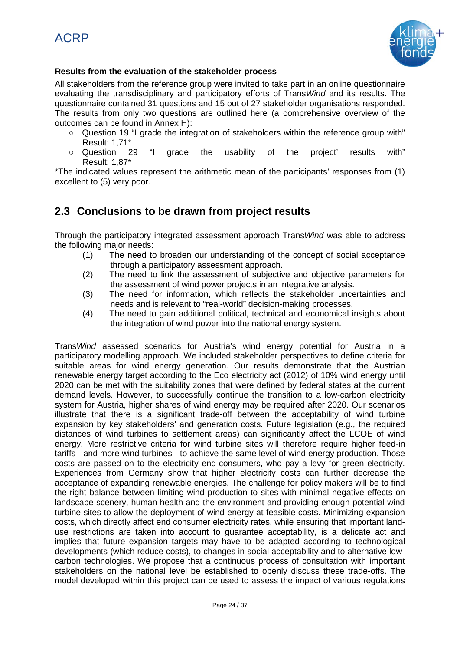

### **Results from the evaluation of the stakeholder process**

All stakeholders from the reference group were invited to take part in an online questionnaire evaluating the transdisciplinary and participatory efforts of Trans*Wind* and its results. The questionnaire contained 31 questions and 15 out of 27 stakeholder organisations responded. The results from only two questions are outlined here (a comprehensive overview of the outcomes can be found in Annex H):

- $\circ$  Question 19 "I grade the integration of stakeholders within the reference group with" Result: 1,71\*
- Question 29 "I grade the usability of the project' results with" Result: 1,87\*

\*The indicated values represent the arithmetic mean of the participants' responses from (1) excellent to (5) very poor.

## **2.3 Conclusions to be drawn from project results**

Through the participatory integrated assessment approach Trans*Wind* was able to address the following major needs:

- (1) The need to broaden our understanding of the concept of social acceptance through a participatory assessment approach.
- (2) The need to link the assessment of subjective and objective parameters for the assessment of wind power projects in an integrative analysis.
- (3) The need for information, which reflects the stakeholder uncertainties and needs and is relevant to "real-world" decision-making processes.
- (4) The need to gain additional political, technical and economical insights about the integration of wind power into the national energy system.

Trans*Wind* assessed scenarios for Austria's wind energy potential for Austria in a participatory modelling approach. We included stakeholder perspectives to define criteria for suitable areas for wind energy generation. Our results demonstrate that the Austrian renewable energy target according to the Eco electricity act (2012) of 10% wind energy until 2020 can be met with the suitability zones that were defined by federal states at the current demand levels. However, to successfully continue the transition to a low-carbon electricity system for Austria, higher shares of wind energy may be required after 2020. Our scenarios illustrate that there is a significant trade-off between the acceptability of wind turbine expansion by key stakeholders' and generation costs. Future legislation (e.g., the required distances of wind turbines to settlement areas) can significantly affect the LCOE of wind energy. More restrictive criteria for wind turbine sites will therefore require higher feed-in tariffs - and more wind turbines - to achieve the same level of wind energy production. Those costs are passed on to the electricity end-consumers, who pay a levy for green electricity. Experiences from Germany show that higher electricity costs can further decrease the acceptance of expanding renewable energies. The challenge for policy makers will be to find the right balance between limiting wind production to sites with minimal negative effects on landscape scenery, human health and the environment and providing enough potential wind turbine sites to allow the deployment of wind energy at feasible costs. Minimizing expansion costs, which directly affect end consumer electricity rates, while ensuring that important landuse restrictions are taken into account to guarantee acceptability, is a delicate act and implies that future expansion targets may have to be adapted according to technological developments (which reduce costs), to changes in social acceptability and to alternative lowcarbon technologies. We propose that a continuous process of consultation with important stakeholders on the national level be established to openly discuss these trade-offs. The model developed within this project can be used to assess the impact of various regulations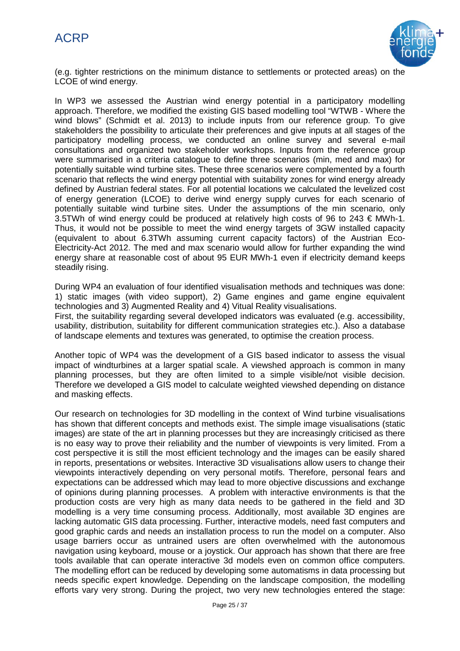

(e.g. tighter restrictions on the minimum distance to settlements or protected areas) on the LCOE of wind energy.

In WP3 we assessed the Austrian wind energy potential in a participatory modelling approach. Therefore, we modified the existing GIS based modelling tool "WTWB - Where the wind blows" (Schmidt et al. 2013) to include inputs from our reference group. To give stakeholders the possibility to articulate their preferences and give inputs at all stages of the participatory modelling process, we conducted an online survey and several e-mail consultations and organized two stakeholder workshops. Inputs from the reference group were summarised in a criteria catalogue to define three scenarios (min, med and max) for potentially suitable wind turbine sites. These three scenarios were complemented by a fourth scenario that reflects the wind energy potential with suitability zones for wind energy already defined by Austrian federal states. For all potential locations we calculated the levelized cost of energy generation (LCOE) to derive wind energy supply curves for each scenario of potentially suitable wind turbine sites. Under the assumptions of the min scenario, only 3.5TWh of wind energy could be produced at relatively high costs of 96 to 243  $\in$  MWh-1. Thus, it would not be possible to meet the wind energy targets of 3GW installed capacity (equivalent to about 6.3TWh assuming current capacity factors) of the Austrian Eco-Electricity-Act 2012. The med and max scenario would allow for further expanding the wind energy share at reasonable cost of about 95 EUR MWh-1 even if electricity demand keeps steadily rising.

During WP4 an evaluation of four identified visualisation methods and techniques was done: 1) static images (with video support), 2) Game engines and game engine equivalent technologies and 3) Augmented Reality and 4) Vitual Reality visualisations.

First, the suitability regarding several developed indicators was evaluated (e.g. accessibility, usability, distribution, suitability for different communication strategies etc.). Also a database of landscape elements and textures was generated, to optimise the creation process.

Another topic of WP4 was the development of a GIS based indicator to assess the visual impact of windturbines at a larger spatial scale. A viewshed approach is common in many planning processes, but they are often limited to a simple visible/not visible decision. Therefore we developed a GIS model to calculate weighted viewshed depending on distance and masking effects.

Our research on technologies for 3D modelling in the context of Wind turbine visualisations has shown that different concepts and methods exist. The simple image visualisations (static images) are state of the art in planning processes but they are increasingly criticised as there is no easy way to prove their reliability and the number of viewpoints is very limited. From a cost perspective it is still the most efficient technology and the images can be easily shared in reports, presentations or websites. Interactive 3D visualisations allow users to change their viewpoints interactively depending on very personal motifs. Therefore, personal fears and expectations can be addressed which may lead to more objective discussions and exchange of opinions during planning processes. A problem with interactive environments is that the production costs are very high as many data needs to be gathered in the field and 3D modelling is a very time consuming process. Additionally, most available 3D engines are lacking automatic GIS data processing. Further, interactive models, need fast computers and good graphic cards and needs an installation process to run the model on a computer. Also usage barriers occur as untrained users are often overwhelmed with the autonomous navigation using keyboard, mouse or a joystick. Our approach has shown that there are free tools available that can operate interactive 3d models even on common office computers. The modelling effort can be reduced by developing some automatisms in data processing but needs specific expert knowledge. Depending on the landscape composition, the modelling efforts vary very strong. During the project, two very new technologies entered the stage: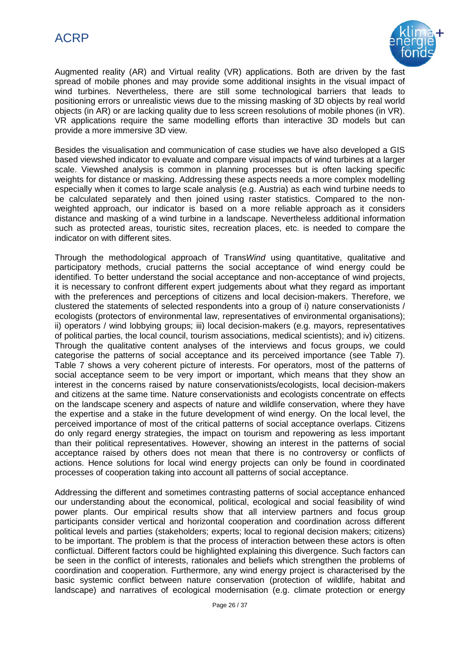

Augmented reality (AR) and Virtual reality (VR) applications. Both are driven by the fast spread of mobile phones and may provide some additional insights in the visual impact of wind turbines. Nevertheless, there are still some technological barriers that leads to positioning errors or unrealistic views due to the missing masking of 3D objects by real world objects (in AR) or are lacking quality due to less screen resolutions of mobile phones (in VR). VR applications require the same modelling efforts than interactive 3D models but can provide a more immersive 3D view.

Besides the visualisation and communication of case studies we have also developed a GIS based viewshed indicator to evaluate and compare visual impacts of wind turbines at a larger scale. Viewshed analysis is common in planning processes but is often lacking specific weights for distance or masking. Addressing these aspects needs a more complex modelling especially when it comes to large scale analysis (e.g. Austria) as each wind turbine needs to be calculated separately and then joined using raster statistics. Compared to the nonweighted approach, our indicator is based on a more reliable approach as it considers distance and masking of a wind turbine in a landscape. Nevertheless additional information such as protected areas, touristic sites, recreation places, etc. is needed to compare the indicator on with different sites.

Through the methodological approach of Trans*Wind* using quantitative, qualitative and participatory methods, crucial patterns the social acceptance of wind energy could be identified. To better understand the social acceptance and non-acceptance of wind projects, it is necessary to confront different expert judgements about what they regard as important with the preferences and perceptions of citizens and local decision-makers. Therefore, we clustered the statements of selected respondents into a group of i) nature conservationists / ecologists (protectors of environmental law, representatives of environmental organisations); ii) operators / wind lobbying groups; iii) local decision-makers (e.g. mayors, representatives of political parties, the local council, tourism associations, medical scientists); and iv) citizens. Through the qualitative content analyses of the interviews and focus groups, we could categorise the patterns of social acceptance and its perceived importance (see Table 7). Table 7 shows a very coherent picture of interests. For operators, most of the patterns of social acceptance seem to be very import or important, which means that they show an interest in the concerns raised by nature conservationists/ecologists, local decision-makers and citizens at the same time. Nature conservationists and ecologists concentrate on effects on the landscape scenery and aspects of nature and wildlife conservation, where they have the expertise and a stake in the future development of wind energy. On the local level, the perceived importance of most of the critical patterns of social acceptance overlaps. Citizens do only regard energy strategies, the impact on tourism and repowering as less important than their political representatives. However, showing an interest in the patterns of social acceptance raised by others does not mean that there is no controversy or conflicts of actions. Hence solutions for local wind energy projects can only be found in coordinated processes of cooperation taking into account all patterns of social acceptance.

Addressing the different and sometimes contrasting patterns of social acceptance enhanced our understanding about the economical, political, ecological and social feasibility of wind power plants. Our empirical results show that all interview partners and focus group participants consider vertical and horizontal cooperation and coordination across different political levels and parties (stakeholders; experts; local to regional decision makers; citizens) to be important. The problem is that the process of interaction between these actors is often conflictual. Different factors could be highlighted explaining this divergence. Such factors can be seen in the conflict of interests, rationales and beliefs which strengthen the problems of coordination and cooperation. Furthermore, any wind energy project is characterised by the basic systemic conflict between nature conservation (protection of wildlife, habitat and landscape) and narratives of ecological modernisation (e.g. climate protection or energy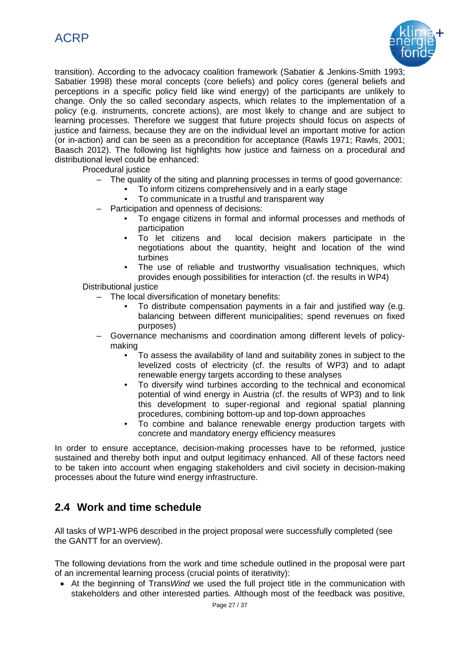



transition). According to the advocacy coalition framework (Sabatier & Jenkins-Smith 1993; Sabatier 1998) these moral concepts (core beliefs) and policy cores (general beliefs and perceptions in a specific policy field like wind energy) of the participants are unlikely to change. Only the so called secondary aspects, which relates to the implementation of a policy (e.g. instruments, concrete actions), are most likely to change and are subject to learning processes. Therefore we suggest that future projects should focus on aspects of justice and fairness, because they are on the individual level an important motive for action (or in-action) and can be seen as a precondition for acceptance (Rawls 1971; Rawls, 2001; Baasch 2012). The following list highlights how justice and fairness on a procedural and distributional level could be enhanced:

Procedural justice

- The quality of the siting and planning processes in terms of good governance:
	- To inform citizens comprehensively and in a early stage
	- To communicate in a trustful and transparent way
- Participation and openness of decisions:
	- To engage citizens in formal and informal processes and methods of participation
	- To let citizens and local decision makers participate in the negotiations about the quantity, height and location of the wind turbines
	- The use of reliable and trustworthy visualisation techniques, which provides enough possibilities for interaction (cf. the results in WP4)

### Distributional justice

– The local diversification of monetary benefits:

- To distribute compensation payments in a fair and justified way (e.g. balancing between different municipalities; spend revenues on fixed purposes)
- Governance mechanisms and coordination among different levels of policymaking
	- To assess the availability of land and suitability zones in subject to the levelized costs of electricity (cf. the results of WP3) and to adapt renewable energy targets according to these analyses
	- To diversify wind turbines according to the technical and economical potential of wind energy in Austria (cf. the results of WP3) and to link this development to super-regional and regional spatial planning procedures, combining bottom-up and top-down approaches
	- To combine and balance renewable energy production targets with concrete and mandatory energy efficiency measures

In order to ensure acceptance, decision-making processes have to be reformed, justice sustained and thereby both input and output legitimacy enhanced. All of these factors need to be taken into account when engaging stakeholders and civil society in decision-making processes about the future wind energy infrastructure.

### **2.4 Work and time schedule**

All tasks of WP1-WP6 described in the project proposal were successfully completed (see the GANTT for an overview).

The following deviations from the work and time schedule outlined in the proposal were part of an incremental learning process (crucial points of iterativity):

• At the beginning of Trans*Wind* we used the full project title in the communication with stakeholders and other interested parties. Although most of the feedback was positive,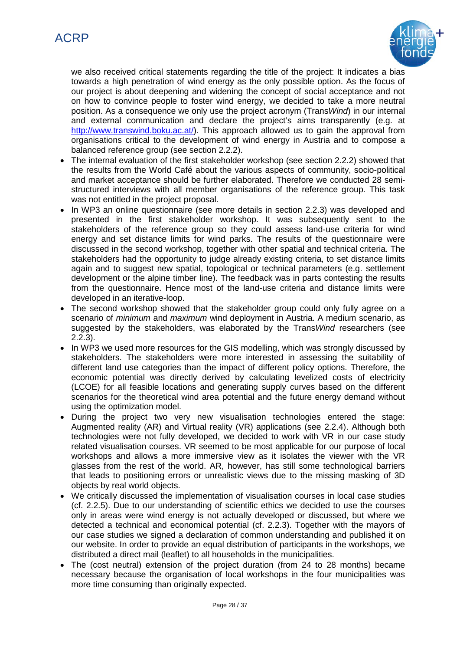

we also received critical statements regarding the title of the project: It indicates a bias towards a high penetration of wind energy as the only possible option. As the focus of our project is about deepening and widening the concept of social acceptance and not on how to convince people to foster wind energy, we decided to take a more neutral position. As a consequence we only use the project acronym (Trans*Wind*) in our internal and external communication and declare the project's aims transparently (e.g. at [http://www.transwind.boku.ac.at/\)](http://www.transwind.boku.ac.at/). This approach allowed us to gain the approval from organisations critical to the development of wind energy in Austria and to compose a balanced reference group (see section 2.2.2).

- The internal evaluation of the first stakeholder workshop (see section 2.2.2) showed that the results from the World Café about the various aspects of community, socio-political and market acceptance should be further elaborated. Therefore we conducted 28 semistructured interviews with all member organisations of the reference group. This task was not entitled in the project proposal.
- In WP3 an online questionnaire (see more details in section 2.2.3) was developed and presented in the first stakeholder workshop. It was subsequently sent to the stakeholders of the reference group so they could assess land-use criteria for wind energy and set distance limits for wind parks. The results of the questionnaire were discussed in the second workshop, together with other spatial and technical criteria. The stakeholders had the opportunity to judge already existing criteria, to set distance limits again and to suggest new spatial, topological or technical parameters (e.g. settlement development or the alpine timber line). The feedback was in parts contesting the results from the questionnaire. Hence most of the land-use criteria and distance limits were developed in an iterative-loop.
- The second workshop showed that the stakeholder group could only fully agree on a scenario of *minimum* and *maximum* wind deployment in Austria. A medium scenario, as suggested by the stakeholders, was elaborated by the Trans*Wind* researchers (see 2.2.3).
- In WP3 we used more resources for the GIS modelling, which was strongly discussed by stakeholders. The stakeholders were more interested in assessing the suitability of different land use categories than the impact of different policy options. Therefore, the economic potential was directly derived by calculating levelized costs of electricity (LCOE) for all feasible locations and generating supply curves based on the different scenarios for the theoretical wind area potential and the future energy demand without using the optimization model.
- During the project two very new visualisation technologies entered the stage: Augmented reality (AR) and Virtual reality (VR) applications (see 2.2.4). Although both technologies were not fully developed, we decided to work with VR in our case study related visualisation courses. VR seemed to be most applicable for our purpose of local workshops and allows a more immersive view as it isolates the viewer with the VR glasses from the rest of the world. AR, however, has still some technological barriers that leads to positioning errors or unrealistic views due to the missing masking of 3D objects by real world objects.
- We critically discussed the implementation of visualisation courses in local case studies (cf. 2.2.5). Due to our understanding of scientific ethics we decided to use the courses only in areas were wind energy is not actually developed or discussed, but where we detected a technical and economical potential (cf. 2.2.3). Together with the mayors of our case studies we signed a declaration of common understanding and published it on our website. In order to provide an equal distribution of participants in the workshops, we distributed a direct mail (leaflet) to all households in the municipalities.
- The (cost neutral) extension of the project duration (from 24 to 28 months) became necessary because the organisation of local workshops in the four municipalities was more time consuming than originally expected.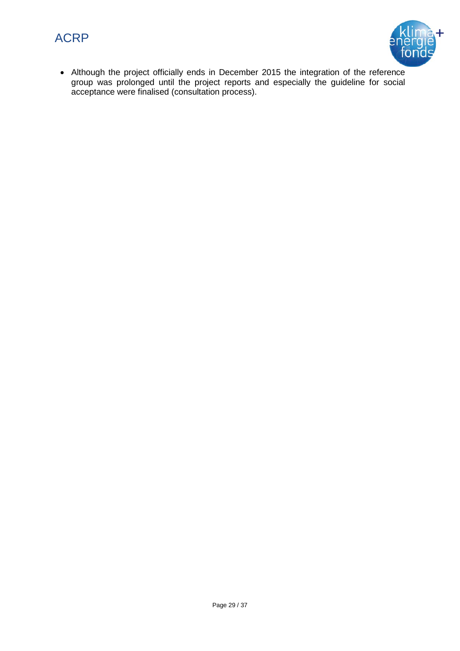



• Although the project officially ends in December 2015 the integration of the reference group was prolonged until the project reports and especially the guideline for social acceptance were finalised (consultation process).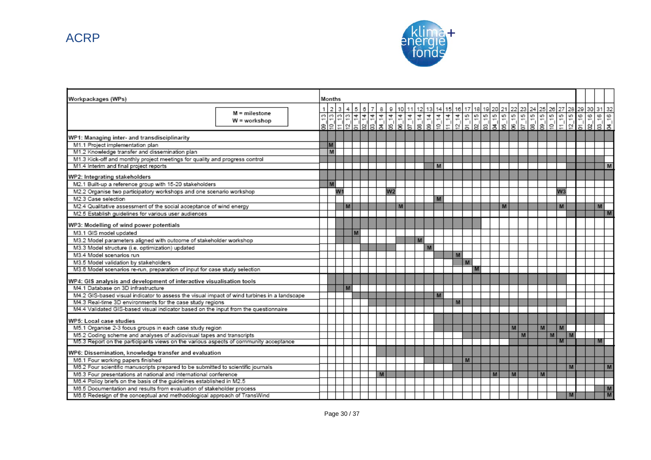ACRP



| Workpackages (WPs)                                                                          |               |    | Months  |                |   |  |       |   |                |         |   |       |   |                |   |    |             |   |   |   |   |                |   |  |                               |
|---------------------------------------------------------------------------------------------|---------------|----|---------|----------------|---|--|-------|---|----------------|---------|---|-------|---|----------------|---|----|-------------|---|---|---|---|----------------|---|--|-------------------------------|
|                                                                                             | M = milestone | 1. | 2 3 4 5 |                |   |  | 6 7 8 |   |                | 9 10 11 |   | 12 13 |   | 14 15 16 17 18 |   |    | 19 20 21 22 |   |   |   |   |                |   |  | 23 24 25 26 27 28 29 30 31 32 |
|                                                                                             | W = workshop  |    |         |                |   |  |       |   |                |         |   |       |   |                |   |    |             |   |   |   |   |                |   |  | $= 8$                         |
|                                                                                             |               |    |         |                |   |  |       |   |                |         |   |       |   |                |   |    |             |   |   |   |   |                |   |  | g' ຮ່                         |
| WP1: Managing inter- and transdisciplinarity                                                |               |    |         |                |   |  |       |   |                |         |   |       |   |                |   |    |             |   |   |   |   |                |   |  |                               |
| M1.1 Project implementation plan                                                            |               |    | M       |                |   |  |       |   |                |         |   |       |   |                |   |    |             |   |   |   |   |                |   |  |                               |
| M1.2 Knowledge transfer and dissemination plan                                              |               |    | M       |                |   |  |       |   |                |         |   |       |   |                |   |    |             |   |   |   |   |                |   |  |                               |
| M1.3 Kick-off and monthly project meetings for quality and progress control                 |               |    |         |                |   |  |       |   |                |         |   |       |   |                |   |    |             |   |   |   |   |                |   |  |                               |
| M1.4 Interim and final project reports                                                      |               |    |         |                |   |  |       |   |                |         |   |       | M |                |   |    |             |   |   |   |   |                |   |  | M                             |
| WP2: Integrating stakeholders                                                               |               |    |         |                |   |  |       |   |                |         |   |       |   |                |   |    |             |   |   |   |   |                |   |  |                               |
| M2.1 Built-up a reference group with 15-20 stakeholders                                     |               |    | M       |                |   |  |       |   |                |         |   |       |   |                |   |    |             |   |   |   |   |                |   |  |                               |
| M2.2 Organise two participatory workshops and one scenario workshop                         |               |    |         | W <sub>1</sub> |   |  |       |   | W <sub>2</sub> |         |   |       |   |                |   |    |             |   |   |   |   | W <sub>3</sub> |   |  |                               |
| M2.3 Case selection                                                                         |               |    |         |                |   |  |       |   |                |         |   |       | M |                |   |    |             |   |   |   |   |                |   |  |                               |
| M2.4 Qualitative assessment of the social acceptance of wind energy                         |               |    |         |                | M |  |       |   |                | M       |   |       |   |                |   |    |             | M |   |   |   | M              |   |  | M                             |
| M2.5 Establish guidelines for various user audiences                                        |               |    |         |                |   |  |       |   |                |         |   |       |   |                |   |    |             |   |   |   |   |                |   |  | M                             |
| WP3: Modelling of wind power potentials                                                     |               |    |         |                |   |  |       |   |                |         |   |       |   |                |   |    |             |   |   |   |   |                |   |  |                               |
| M3.1 GIS model updated                                                                      |               |    |         |                | M |  |       |   |                |         |   |       |   |                |   |    |             |   |   |   |   |                |   |  |                               |
| M3.2 Model parameters aligned with outcome of stakeholder workshop                          |               |    |         |                |   |  |       |   |                |         | M |       |   |                |   |    |             |   |   |   |   |                |   |  |                               |
| M3.3 Model structure (i.e. optimization) updated                                            |               |    |         |                |   |  |       |   |                |         |   | M     |   |                |   |    |             |   |   |   |   |                |   |  |                               |
| M3.4 Model scenarios run                                                                    |               |    |         |                |   |  |       |   |                |         |   |       |   |                | M |    |             |   |   |   |   |                |   |  |                               |
| M3.5 Model validation by stakeholders                                                       |               |    |         |                |   |  |       |   |                |         |   |       |   |                |   | M. |             |   |   |   |   |                |   |  |                               |
| M3.6 Model scenarios re-run, preparation of input for case study selection                  |               |    |         |                |   |  |       |   |                |         |   |       |   |                |   |    |             |   |   |   |   |                |   |  |                               |
| WP4: GIS analysis and development of interactive visualisation tools                        |               |    |         |                |   |  |       |   |                |         |   |       |   |                |   |    |             |   |   |   |   |                |   |  |                               |
| M4.1 Database on 3D infrastructure                                                          |               |    |         |                | M |  |       |   |                |         |   |       |   |                |   |    |             |   |   |   |   |                |   |  |                               |
| M4.2 GIS-based visual indicator to assess the visual impact of wind turbines in a landscape |               |    |         |                |   |  |       |   |                |         |   |       | M |                |   |    |             |   |   |   |   |                |   |  |                               |
| M4.3 Real-time 3D environments for the case study regions                                   |               |    |         |                |   |  |       |   |                |         |   |       |   |                | M |    |             |   |   |   |   |                |   |  |                               |
| M4.4 Validated GIS-based visual indicator based on the input from the questionnaire         |               |    |         |                |   |  |       |   |                |         |   |       |   |                |   |    |             |   |   |   |   |                |   |  |                               |
| WP5: Local case studies                                                                     |               |    |         |                |   |  |       |   |                |         |   |       |   |                |   |    |             |   |   |   |   |                |   |  |                               |
| M5.1 Organise 2-3 focus groups in each case study region                                    |               |    |         |                |   |  |       |   |                |         |   |       |   |                |   |    |             |   | M |   | M | M              |   |  |                               |
| M5.2 Coding scheme and analyses of audiovisual tapes and transcripts                        |               |    |         |                |   |  |       |   |                |         |   |       |   |                |   |    |             |   |   | M |   | M              | M |  |                               |
| M5.3 Report on the participants views on the various aspects of community acceptance        |               |    |         |                |   |  |       |   |                |         |   |       |   |                |   |    |             |   |   |   |   |                |   |  | м                             |
| WP6: Dissemination, knowledge transfer and evaluation                                       |               |    |         |                |   |  |       |   |                |         |   |       |   |                |   |    |             |   |   |   |   |                |   |  |                               |
| M6.1 Four working papers finished                                                           |               |    |         |                |   |  |       |   |                |         |   |       |   |                |   | M  |             |   |   |   |   |                |   |  |                               |
| M6.2 Four scientific manuscripts prepared to be submitted to scientific journals            |               |    |         |                |   |  |       |   |                |         |   |       |   |                |   |    |             |   |   |   |   |                | M |  | M                             |
| M6.3 Four presentations at national and international conference                            |               |    |         |                |   |  |       | M |                |         |   |       |   |                |   |    | M           |   | M |   | M |                |   |  |                               |
| M6.4 Policy briefs on the basis of the guidelines established in M2.5                       |               |    |         |                |   |  |       |   |                |         |   |       |   |                |   |    |             |   |   |   |   |                |   |  |                               |
| M6.5 Documentation and results from evaluation of stakeholder process                       |               |    |         |                |   |  |       |   |                |         |   |       |   |                |   |    |             |   |   |   |   |                |   |  | M                             |
| M6.6 Redesign of the conceptual and methodological approach of TransWind                    |               |    |         |                |   |  |       |   |                |         |   |       |   |                |   |    |             |   |   |   |   |                | M |  | M                             |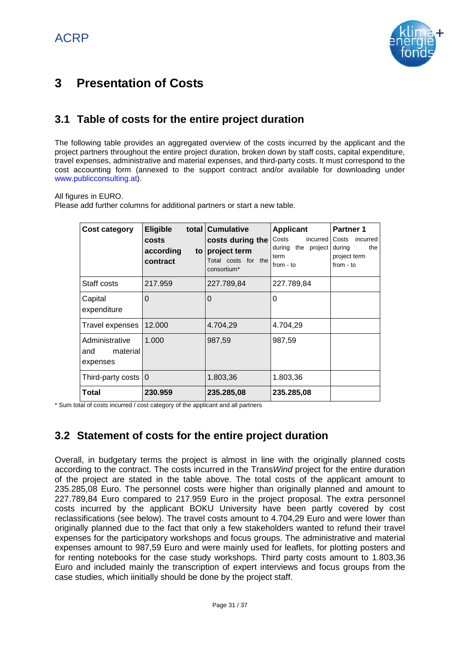

# **3 Presentation of Costs**

# **3.1 Table of costs for the entire project duration**

The following table provides an aggregated overview of the costs incurred by the applicant and the project partners throughout the entire project duration, broken down by staff costs, capital expenditure, travel expenses, administrative and material expenses, and third-party costs. It must correspond to the cost accounting form (annexed to the support contract and/or available for downloading under www.publicconsulting.at).

All figures in EURO.

Please add further columns for additional partners or start a new table.

| <b>Cost category</b>                          | <b>Eligible</b><br><b>costs</b><br>according<br>to l<br>contract | total Cumulative<br>costs during the<br>project term<br>Total costs for the<br>consortium* | <b>Applicant</b><br>Costs<br>incurred<br>during the project<br>term<br>from - to | <b>Partner 1</b><br>incurred<br>Costs<br>during<br>the<br>project term<br>$from - to$ |
|-----------------------------------------------|------------------------------------------------------------------|--------------------------------------------------------------------------------------------|----------------------------------------------------------------------------------|---------------------------------------------------------------------------------------|
| Staff costs                                   | 217.959                                                          | 227.789,84                                                                                 | 227.789,84                                                                       |                                                                                       |
| Capital<br>expenditure                        | $\Omega$                                                         | $\overline{0}$                                                                             | 0                                                                                |                                                                                       |
| Travel expenses                               | 12.000                                                           | 4.704,29                                                                                   | 4.704,29                                                                         |                                                                                       |
| Administrative<br>material<br>and<br>expenses | 1.000                                                            | 987,59                                                                                     | 987,59                                                                           |                                                                                       |
| Third-party costs $ 0\rangle$                 |                                                                  | 1.803,36                                                                                   | 1.803,36                                                                         |                                                                                       |
| Total                                         | 230.959                                                          | 235.285,08                                                                                 | 235.285,08                                                                       |                                                                                       |

\* Sum total of costs incurred / cost category of the applicant and all partners

# **3.2 Statement of costs for the entire project duration**

Overall, in budgetary terms the project is almost in line with the originally planned costs according to the contract. The costs incurred in the Trans*Wind* project for the entire duration of the project are stated in the table above. The total costs of the applicant amount to 235.285,08 Euro. The personnel costs were higher than originally planned and amount to 227.789,84 Euro compared to 217.959 Euro in the project proposal. The extra personnel costs incurred by the applicant BOKU University have been partly covered by cost reclassifications (see below). The travel costs amount to 4.704,29 Euro and were lower than originally planned due to the fact that only a few stakeholders wanted to refund their travel expenses for the participatory workshops and focus groups. The administrative and material expenses amount to 987,59 Euro and were mainly used for leaflets, for plotting posters and for renting notebooks for the case study workshops. Third party costs amount to 1.803,36 Euro and included mainly the transcription of expert interviews and focus groups from the case studies, which iinitially should be done by the project staff.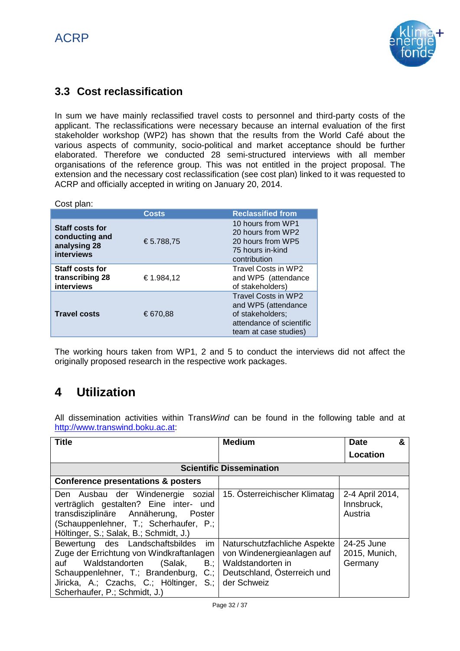

# **3.3 Cost reclassification**

In sum we have mainly reclassified travel costs to personnel and third-party costs of the applicant. The reclassifications were necessary because an internal evaluation of the first stakeholder workshop (WP2) has shown that the results from the World Café about the various aspects of community, socio-political and market acceptance should be further elaborated. Therefore we conducted 28 semi-structured interviews with all member organisations of the reference group. This was not entitled in the project proposal. The extension and the necessary cost reclassification (see cost plan) linked to it was requested to ACRP and officially accepted in writing on January 20, 2014.

| Cost plan:                                                             |              |                                                                                                                     |
|------------------------------------------------------------------------|--------------|---------------------------------------------------------------------------------------------------------------------|
|                                                                        | <b>Costs</b> | <b>Reclassified from</b>                                                                                            |
| <b>Staff costs for</b><br>conducting and<br>analysing 28<br>interviews | €5.788,75    | 10 hours from WP1<br>20 hours from WP2<br>20 hours from WP5<br>75 hours in-kind<br>contribution                     |
| <b>Staff costs for</b><br>transcribing 28<br>interviews                | €1.984,12    | Travel Costs in WP2<br>and WP5 (attendance<br>of stakeholders)                                                      |
| <b>Travel costs</b>                                                    | €670,88      | Travel Costs in WP2<br>and WP5 (attendance<br>of stakeholders;<br>attendance of scientific<br>team at case studies) |

The working hours taken from WP1, 2 and 5 to conduct the interviews did not affect the originally proposed research in the respective work packages.

# **4 Utilization**

All dissemination activities within Trans*Wind* can be found in the following table and at [http://www.transwind.boku.ac.at:](http://www.transwind.boku.ac.at/)

| <b>Title</b>                                                                                                                                                                                                                                             | <b>Medium</b>                                                                                                                 | &<br><b>Date</b>                         |
|----------------------------------------------------------------------------------------------------------------------------------------------------------------------------------------------------------------------------------------------------------|-------------------------------------------------------------------------------------------------------------------------------|------------------------------------------|
|                                                                                                                                                                                                                                                          |                                                                                                                               | Location                                 |
|                                                                                                                                                                                                                                                          | <b>Scientific Dissemination</b>                                                                                               |                                          |
| <b>Conference presentations &amp; posters</b>                                                                                                                                                                                                            |                                                                                                                               |                                          |
| Den Ausbau der Windenergie sozial<br>verträglich gestalten? Eine inter- und<br>transdisziplinäre Annäherung, Poster<br>(Schauppenlehner, T.; Scherhaufer, P.;<br>Höltinger, S.; Salak, B.; Schmidt, J.)                                                  | 15. Österreichischer Klimatag                                                                                                 | 2-4 April 2014,<br>Innsbruck,<br>Austria |
| Bewertung des Landschaftsbildes<br>im<br>Zuge der Errichtung von Windkraftanlagen<br>auf Waldstandorten<br>$B$ :<br>(Salak,<br>Schauppenlehner, T.; Brandenburg,<br>C:<br>Jiricka, A.; Czachs, C.; Höltinger,<br>$S$ .:<br>Scherhaufer, P.; Schmidt, J.) | Naturschutzfachliche Aspekte<br>von Windenergieanlagen auf<br>Waldstandorten in<br>Deutschland, Österreich und<br>der Schweiz | 24-25 June<br>2015, Munich,<br>Germany   |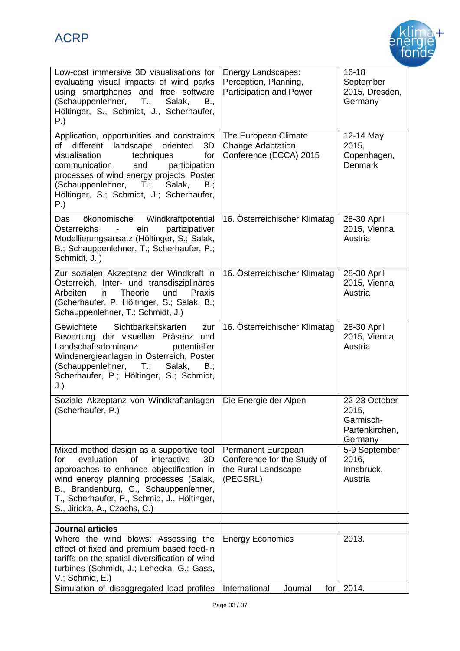

| Low-cost immersive 3D visualisations for<br>evaluating visual impacts of wind parks<br>using smartphones and free software<br>(Schauppenlehner, T.,<br>Salak,<br>B.,<br>Höltinger, S., Schmidt, J., Scherhaufer,<br>P.)                                                                                               | Energy Landscapes:<br>Perception, Planning,<br>Participation and Power               | $16 - 18$<br>September<br>2015, Dresden,<br>Germany              |
|-----------------------------------------------------------------------------------------------------------------------------------------------------------------------------------------------------------------------------------------------------------------------------------------------------------------------|--------------------------------------------------------------------------------------|------------------------------------------------------------------|
| Application, opportunities and constraints<br>different<br>landscape oriented<br>of<br>3D<br>visualisation<br>techniques<br>for<br>communication<br>and<br>participation<br>processes of wind energy projects, Poster<br>(Schauppenlehner, T.;<br>Salak,<br>$B$ .;<br>Höltinger, S.; Schmidt, J.; Scherhaufer,<br>P.) | The European Climate<br><b>Change Adaptation</b><br>Conference (ECCA) 2015           | 12-14 May<br>2015,<br>Copenhagen,<br><b>Denmark</b>              |
| Windkraftpotential<br>ökonomische<br>Das<br><b>Österreichs</b><br>partizipativer<br>ein<br>$\blacksquare$<br>Modellierungsansatz (Höltinger, S.; Salak,<br>B.; Schauppenlehner, T.; Scherhaufer, P.;<br>Schmidt, J.)                                                                                                  | 16. Österreichischer Klimatag                                                        | 28-30 April<br>2015, Vienna,<br>Austria                          |
| Zur sozialen Akzeptanz der Windkraft in<br>Österreich. Inter- und transdisziplinäres<br>Arbeiten<br><b>Theorie</b><br>und<br>Praxis<br>in.<br>(Scherhaufer, P. Höltinger, S.; Salak, B.;<br>Schauppenlehner, T.; Schmidt, J.)                                                                                         | 16. Österreichischer Klimatag                                                        | 28-30 April<br>2015, Vienna,<br>Austria                          |
| Sichtbarkeitskarten<br>Gewichtete<br>zur<br>Bewertung der visuellen Präsenz und<br>Landschaftsdominanz<br>potentieller<br>Windenergieanlagen in Österreich, Poster<br>(Schauppenlehner, T.; Salak,<br>B.,<br>Scherhaufer, P.; Höltinger, S.; Schmidt,<br>J.)                                                          | 16. Österreichischer Klimatag                                                        | 28-30 April<br>2015, Vienna,<br>Austria                          |
| Soziale Akzeptanz von Windkraftanlagen<br>(Scherhaufer, P.)                                                                                                                                                                                                                                                           | Die Energie der Alpen                                                                | 22-23 October<br>2015,<br>Garmisch-<br>Partenkirchen,<br>Germany |
| Mixed method design as a supportive tool<br>evaluation<br><b>of</b><br>interactive<br>for<br>3D<br>approaches to enhance objectification in<br>wind energy planning processes (Salak,<br>B., Brandenburg, C., Schauppenlehner,<br>T., Scherhaufer, P., Schmid, J., Höltinger,<br>S., Jiricka, A., Czachs, C.)         | Permanent European<br>Conference for the Study of<br>the Rural Landscape<br>(PECSRL) | 5-9 September<br>2016,<br>Innsbruck,<br>Austria                  |
| <b>Journal articles</b>                                                                                                                                                                                                                                                                                               |                                                                                      |                                                                  |
| Where the wind blows: Assessing the<br>effect of fixed and premium based feed-in<br>tariffs on the spatial diversification of wind<br>turbines (Schmidt, J.; Lehecka, G.; Gass,<br>V.; Schmid, E.)                                                                                                                    | <b>Energy Economics</b>                                                              | 2013.                                                            |
| Simulation of disaggregated load profiles                                                                                                                                                                                                                                                                             | International<br>Journal<br>for                                                      | 2014.                                                            |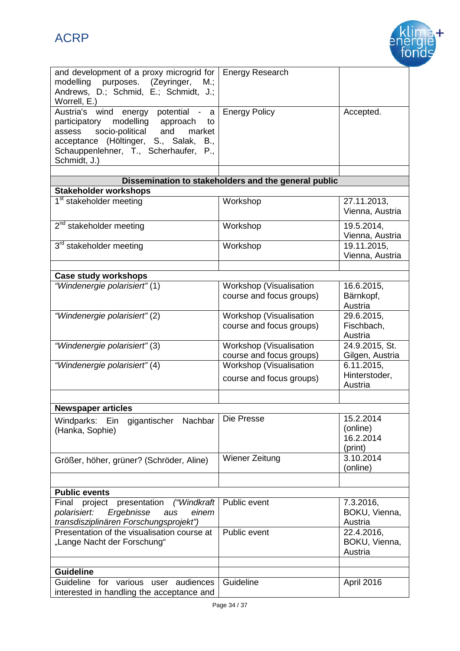# ACRP



| and development of a proxy microgrid for<br>modelling<br>purposes. (Zeyringer,<br>M.;<br>Andrews, D.; Schmid, E.; Schmidt, J.;<br>Worrell, E.)                                                                                            | <b>Energy Research</b>                               |                                               |
|-------------------------------------------------------------------------------------------------------------------------------------------------------------------------------------------------------------------------------------------|------------------------------------------------------|-----------------------------------------------|
| potential - a<br>Austria's wind<br>energy<br>modelling approach<br>participatory<br>to<br>socio-political<br>and<br>market<br>assess<br>acceptance (Höltinger, S., Salak,<br>B.,<br>Schauppenlehner, T., Scherhaufer, P.,<br>Schmidt, J.) | <b>Energy Policy</b>                                 | Accepted.                                     |
|                                                                                                                                                                                                                                           |                                                      |                                               |
|                                                                                                                                                                                                                                           | Dissemination to stakeholders and the general public |                                               |
| <b>Stakeholder workshops</b>                                                                                                                                                                                                              |                                                      |                                               |
| 1 <sup>st</sup> stakeholder meeting                                                                                                                                                                                                       | Workshop                                             | 27.11.2013,<br>Vienna, Austria                |
| 2 <sup>nd</sup> stakeholder meeting                                                                                                                                                                                                       | Workshop                                             | 19.5.2014,<br>Vienna, Austria                 |
| 3 <sup>rd</sup> stakeholder meeting                                                                                                                                                                                                       | Workshop                                             | 19.11.2015,<br>Vienna, Austria                |
|                                                                                                                                                                                                                                           |                                                      |                                               |
| <b>Case study workshops</b>                                                                                                                                                                                                               |                                                      |                                               |
| "Windenergie polarisiert" (1)                                                                                                                                                                                                             | Workshop (Visualisation                              | 16.6.2015,                                    |
|                                                                                                                                                                                                                                           | course and focus groups)                             | Bärnkopf,<br>Austria                          |
| "Windenergie polarisiert" (2)                                                                                                                                                                                                             | Workshop (Visualisation                              | 29.6.2015,                                    |
|                                                                                                                                                                                                                                           | course and focus groups)                             | Fischbach,<br>Austria                         |
| "Windenergie polarisiert" (3)                                                                                                                                                                                                             | Workshop (Visualisation                              | 24.9.2015, St.                                |
|                                                                                                                                                                                                                                           | course and focus groups)                             | Gilgen, Austria                               |
| "Windenergie polarisiert" (4)                                                                                                                                                                                                             | Workshop (Visualisation                              | 6.11.2015,                                    |
|                                                                                                                                                                                                                                           | course and focus groups)                             | Hinterstoder,<br>Austria                      |
|                                                                                                                                                                                                                                           |                                                      |                                               |
| <b>Newspaper articles</b>                                                                                                                                                                                                                 |                                                      |                                               |
| Windparks: Ein gigantischer<br>Nachbar<br>(Hanka, Sophie)                                                                                                                                                                                 | Die Presse                                           | 15.2.2014<br>(online)<br>16.2.2014<br>(print) |
| Größer, höher, grüner? (Schröder, Aline)                                                                                                                                                                                                  | Wiener Zeitung                                       | 3.10.2014<br>(online)                         |
|                                                                                                                                                                                                                                           |                                                      |                                               |
| <b>Public events</b>                                                                                                                                                                                                                      |                                                      |                                               |
| presentation<br>("Windkraft<br>Final<br>project<br>Ergebnisse<br>polarisiert:<br>einem<br>aus<br>transdisziplinären Forschungsprojekt")                                                                                                   | Public event                                         | 7.3.2016,<br>BOKU, Vienna,<br>Austria         |
| Presentation of the visualisation course at<br>"Lange Nacht der Forschung"                                                                                                                                                                | Public event                                         | 22.4.2016,<br>BOKU, Vienna,<br>Austria        |
|                                                                                                                                                                                                                                           |                                                      |                                               |
| <b>Guideline</b>                                                                                                                                                                                                                          |                                                      |                                               |
| Guideline for various user audiences<br>interested in handling the acceptance and                                                                                                                                                         | Guideline                                            | April 2016                                    |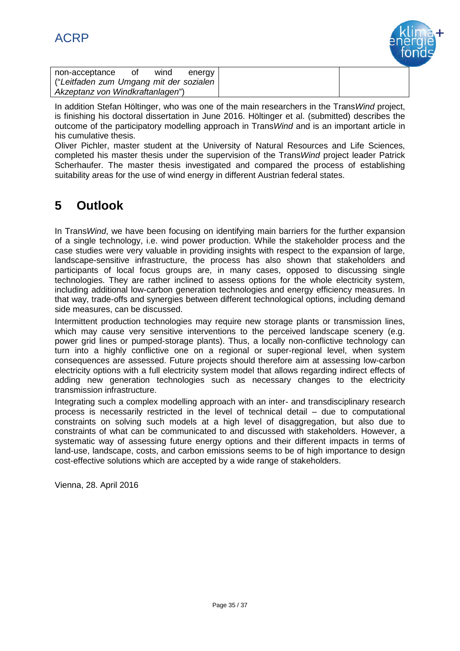

| non-acceptance                           | wind | energy |
|------------------------------------------|------|--------|
| ("Leitfaden zum Umgang mit der sozialen) |      |        |
| Akzeptanz von Windkraftanlagen")         |      |        |

In addition Stefan Höltinger, who was one of the main researchers in the Trans*Wind* project, is finishing his doctoral dissertation in June 2016. Höltinger et al. (submitted) describes the outcome of the participatory modelling approach in Trans*Wind* and is an important article in his cumulative thesis.

Oliver Pichler, master student at the University of Natural Resources and Life Sciences, completed his master thesis under the supervision of the Trans*Wind* project leader Patrick Scherhaufer. The master thesis investigated and compared the process of establishing suitability areas for the use of wind energy in different Austrian federal states.

# **5 Outlook**

In Trans*Wind*, we have been focusing on identifying main barriers for the further expansion of a single technology, i.e. wind power production. While the stakeholder process and the case studies were very valuable in providing insights with respect to the expansion of large, landscape-sensitive infrastructure, the process has also shown that stakeholders and participants of local focus groups are, in many cases, opposed to discussing single technologies. They are rather inclined to assess options for the whole electricity system, including additional low-carbon generation technologies and energy efficiency measures. In that way, trade-offs and synergies between different technological options, including demand side measures, can be discussed.

Intermittent production technologies may require new storage plants or transmission lines, which may cause very sensitive interventions to the perceived landscape scenery (e.g. power grid lines or pumped-storage plants). Thus, a locally non-conflictive technology can turn into a highly conflictive one on a regional or super-regional level, when system consequences are assessed. Future projects should therefore aim at assessing low-carbon electricity options with a full electricity system model that allows regarding indirect effects of adding new generation technologies such as necessary changes to the electricity transmission infrastructure.

Integrating such a complex modelling approach with an inter- and transdisciplinary research process is necessarily restricted in the level of technical detail – due to computational constraints on solving such models at a high level of disaggregation, but also due to constraints of what can be communicated to and discussed with stakeholders. However, a systematic way of assessing future energy options and their different impacts in terms of land-use, landscape, costs, and carbon emissions seems to be of high importance to design cost-effective solutions which are accepted by a wide range of stakeholders.

Vienna, 28. April 2016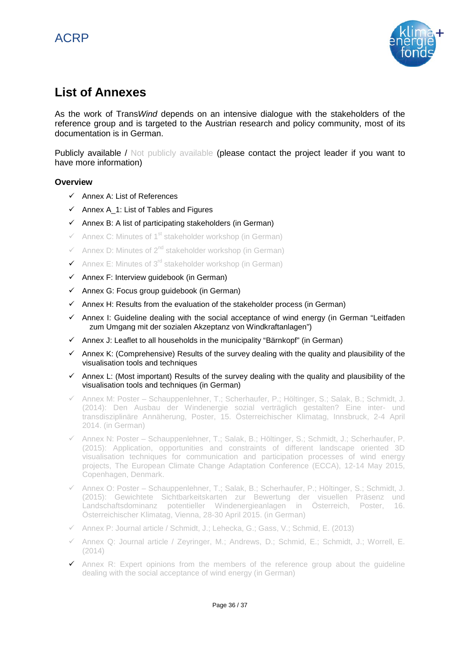

# **List of Annexes**

As the work of Trans*Wind* depends on an intensive dialogue with the stakeholders of the reference group and is targeted to the Austrian research and policy community, most of its documentation is in German.

Publicly available / Not publicly available (please contact the project leader if you want to have more information)

### **Overview**

- $\checkmark$  Annex A: List of References
- $\checkmark$  Annex A 1: List of Tables and Figures
- $\checkmark$  Annex B: A list of participating stakeholders (in German)
- $\checkmark$  Annex C: Minutes of 1<sup>st</sup> stakeholder workshop (in German)
- $\checkmark$  Annex D: Minutes of 2<sup>nd</sup> stakeholder workshop (in German)
- Annex E: Minutes of 3<sup>rd</sup> stakeholder workshop (in German)
- $\checkmark$  Annex F: Interview guidebook (in German)
- $\checkmark$  Annex G: Focus group guidebook (in German)
- $\checkmark$  Annex H: Results from the evaluation of the stakeholder process (in German)
- $\checkmark$  Annex I: Guideline dealing with the social acceptance of wind energy (in German "Leitfaden zum Umgang mit der sozialen Akzeptanz von Windkraftanlagen")
- $\checkmark$  Annex J: Leaflet to all households in the municipality "Bärnkopf" (in German)
- $\checkmark$  Annex K: (Comprehensive) Results of the survey dealing with the quality and plausibility of the visualisation tools and techniques
- $\checkmark$  Annex L: (Most important) Results of the survey dealing with the quality and plausibility of the visualisation tools and techniques (in German)
- $\checkmark$  Annex M: Poster Schauppenlehner, T.; Scherhaufer, P.; Höltinger, S.; Salak, B.; Schmidt, J. (2014): Den Ausbau der Windenergie sozial verträglich gestalten? Eine inter- und transdisziplinäre Annäherung, Poster, 15. Österreichischer Klimatag, Innsbruck, 2-4 April 2014. (in German)
- $\checkmark$  Annex N: Poster Schauppenlehner, T.; Salak, B.; Höltinger, S.; Schmidt, J.; Scherhaufer, P. (2015): Application, opportunities and constraints of different landscape oriented 3D visualisation techniques for communication and participation processes of wind energy projects, The European Climate Change Adaptation Conference (ECCA), 12-14 May 2015, Copenhagen, Denmark.
- $\checkmark$  Annex O: Poster Schauppenlehner, T.; Salak, B.; Scherhaufer, P.; Höltinger, S.; Schmidt, J. (2015): Gewichtete Sichtbarkeitskarten zur Bewertung der visuellen Präsenz und Landschaftsdominanz potentieller Windenergieanlagen in Österreich, Poster, 16. Österreichischer Klimatag, Vienna, 28-30 April 2015. (in German)
- $\checkmark$  Annex P: Journal article / Schmidt, J.; Lehecka, G.; Gass, V.; Schmid, E. (2013)
- Annex Q: Journal article / Zeyringer, M.; Andrews, D.; Schmid, E.; Schmidt, J.; Worrell, E. (2014)
- $\checkmark$  Annex R: Expert opinions from the members of the reference group about the quideline dealing with the social acceptance of wind energy (in German)